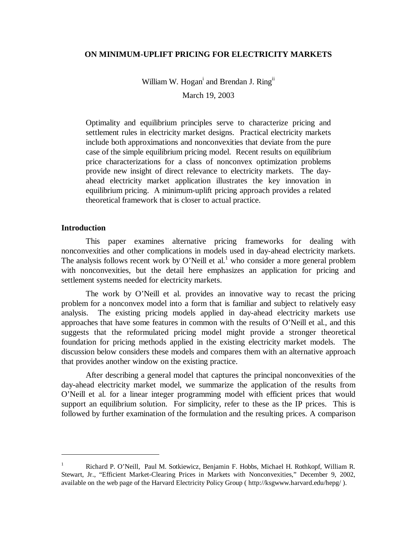## **ON MINIMUM-UPLIFT PRICING FOR ELECTRICITY MARKETS**

William W. Hogan<sup>i</sup> and Brendan J. Ring<sup>ii</sup>

March 19, 2003

Optimality and equilibrium principles serve to characterize pricing and settlement rules in electricity market designs. Practical electricity markets include both approximations and nonconvexities that deviate from the pure case of the simple equilibrium pricing model. Recent results on equilibrium price characterizations for a class of nonconvex optimization problems provide new insight of direct relevance to electricity markets. The dayahead electricity market application illustrates the key innovation in equilibrium pricing. A minimum-uplift pricing approach provides a related theoretical framework that is closer to actual practice.

#### **Introduction**

 $\overline{a}$ 

This paper examines alternative pricing frameworks for dealing with nonconvexities and other complications in models used in day-ahead electricity markets. The analysis follows recent work by O'Neill et al.<sup>1</sup> who consider a more general problem with nonconvexities, but the detail here emphasizes an application for pricing and settlement systems needed for electricity markets.

The work by O'Neill et al. provides an innovative way to recast the pricing problem for a nonconvex model into a form that is familiar and subject to relatively easy analysis. The existing pricing models applied in day-ahead electricity markets use approaches that have some features in common with the results of O'Neill et al., and this suggests that the reformulated pricing model might provide a stronger theoretical foundation for pricing methods applied in the existing electricity market models. The discussion below considers these models and compares them with an alternative approach that provides another window on the existing practice.

After describing a general model that captures the principal nonconvexities of the day-ahead electricity market model, we summarize the application of the results from O'Neill et al. for a linear integer programming model with efficient prices that would support an equilibrium solution. For simplicity, refer to these as the IP prices. This is followed by further examination of the formulation and the resulting prices. A comparison

<sup>1</sup> Richard P. O'Neill, Paul M. Sotkiewicz, Benjamin F. Hobbs, Michael H. Rothkopf, William R. Stewart, Jr., "Efficient Market-Clearing Prices in Markets with Nonconvexities," December 9, 2002, available on the web page of the Harvard Electricity Policy Group ( http://ksgwww.harvard.edu/hepg/ ).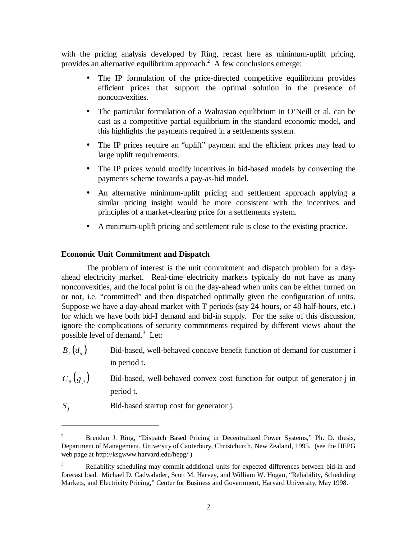with the pricing analysis developed by Ring, recast here as minimum-uplift pricing, provides an alternative equilibrium approach. $2$  A few conclusions emerge:

- The IP formulation of the price-directed competitive equilibrium provides efficient prices that support the optimal solution in the presence of nonconvexities.
- The particular formulation of a Walrasian equilibrium in O'Neill et al. can be cast as a competitive partial equilibrium in the standard economic model, and this highlights the payments required in a settlements system.
- The IP prices require an "uplift" payment and the efficient prices may lead to large uplift requirements.
- The IP prices would modify incentives in bid-based models by converting the payments scheme towards a pay-as-bid model.
- An alternative minimum-uplift pricing and settlement approach applying a similar pricing insight would be more consistent with the incentives and principles of a market-clearing price for a settlements system.
- A minimum-uplift pricing and settlement rule is close to the existing practice.

# **Economic Unit Commitment and Dispatch**

The problem of interest is the unit commitment and dispatch problem for a dayahead electricity market. Real-time electricity markets typically do not have as many nonconvexities, and the focal point is on the day-ahead when units can be either turned on or not, i.e. "committed" and then dispatched optimally given the configuration of units. Suppose we have a day-ahead market with T periods (say 24 hours, or 48 half-hours, etc.) for which we have both bid-I demand and bid-in supply. For the sake of this discussion, ignore the complications of security commitments required by different views about the possible level of demand.<sup>3</sup> Let:

 $B_{it}$   $(d_{it})$  Bid-based, well-behaved concave benefit function of demand for customer i in period t.

 $C_{i}$   $(g_{i}$  **j** in Bid-based, well-behaved convex cost function for output of generator j in period t.

*S*<sub>*i*</sub> Bid-based startup cost for generator j.

<sup>2</sup> Brendan J. Ring, "Dispatch Based Pricing in Decentralized Power Systems," Ph. D. thesis, Department of Management, University of Canterbury, Christchurch, New Zealand, 1995. (see the HEPG web page at http://ksgwww.harvard.edu/hepg/ )

<sup>3</sup> Reliability scheduling may commit additional units for expected differences between bid-in and forecast load. Michael D. Cadwalader, Scott M. Harvey, and William W. Hogan, "Reliability, Scheduling Markets, and Electricity Pricing," Center for Business and Government, Harvard University, May 1998.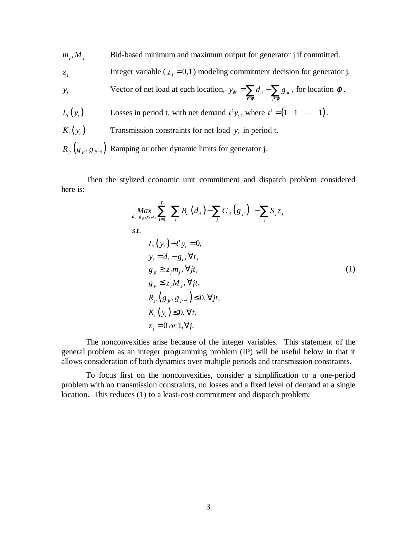- $m_j$ ,  $M_j$  Bid-based minimum and maximum output for generator j if committed.
- *z*<sub>*j*</sub> Integer variable ( $z_j = 0,1$ ) modeling commitment decision for generator j.
- *y*<sub>t</sub>  $y_{\alpha} = \sum d_{it} \sum g_{jt}$ *i*∈φ *j*  $y_{\varphi t} = \sum d_{it} - \sum g$  $=\sum_{i\in\varphi}d_{ii}-\sum_{j\in\varphi}g_{ji}$ , for location  $\varphi$ . *L*<sub>*t*</sub> (*y*<sub>*t*</sub>) Losses in period t, with net demand  $t^t y_t$ , where  $t^t = (1 \ 1 \cdots 1)$ .
- 
- $K_t(y_t)$  Transmission constraints for net load  $y_t$  in period t.
- $R_{i}$   $(g_{i}, g_{i-1})$  Ramping or other dynamic limits for generator j.

Then the stylized economic unit commitment and dispatch problem considered here is:

$$
\begin{aligned}\n\max_{d_{ii}, g_{ji}, y_i, z_j} &\sum_{t=1}^T \Biggl( \sum_i B_{ii} \left( d_{ii} \right) - \sum_j C_{ji} \left( g_{ji} \right) \Biggr) - \sum_j S_j z_j \\
s.t. \\
L_t \left( y_t \right) + t^t y_t &= 0, \\
y_t &= d_t - g_t, \forall t, \\
g_{jt} \ge z_j m_j, \forall j t, \\
g_{jt} \le z_j M_j, \forall j t, \\
R_{jt} \left( g_{jt}, g_{jt-1} \right) \le 0, \forall j t, \\
K_t \left( y_t \right) \le 0, \forall t, \\
z_j &= 0 \text{ or } 1, \forall j.\n\end{aligned} \tag{1}
$$

The nonconvexities arise because of the integer variables. This statement of the general problem as an integer programming problem (IP) will be useful below in that it allows consideration of both dynamics over multiple periods and transmission constraints.

To focus first on the nonconvexities, consider a simplification to a one-period problem with no transmission constraints, no losses and a fixed level of demand at a single location. This reduces (1) to a least-cost commitment and dispatch problem: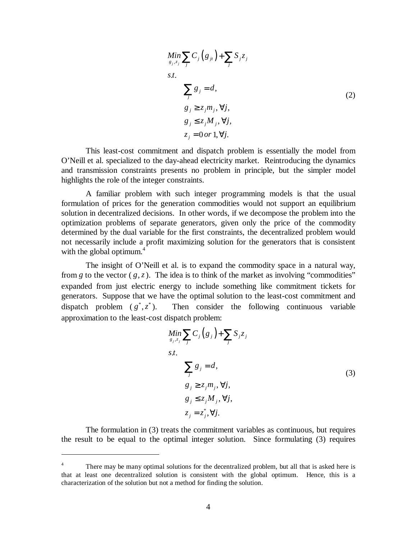$$
\begin{aligned}\n\min_{g_j, z_j} \sum_j C_j \left( g_{ji} \right) + \sum_j S_j z_j \\
s.t. \\
\sum_j g_j &= d, \\
g_j &\ge z_j m_j, \forall j, \\
g_j &\le z_j M_j, \forall j, \\
z_j &= 0 \text{ or } 1, \forall j.\n\end{aligned} \tag{2}
$$

This least-cost commitment and dispatch problem is essentially the model from O'Neill et al. specialized to the day-ahead electricity market. Reintroducing the dynamics and transmission constraints presents no problem in principle, but the simpler model highlights the role of the integer constraints.

A familiar problem with such integer programming models is that the usual formulation of prices for the generation commodities would not support an equilibrium solution in decentralized decisions. In other words, if we decompose the problem into the optimization problems of separate generators, given only the price of the commodity determined by the dual variable for the first constraints, the decentralized problem would not necessarily include a profit maximizing solution for the generators that is consistent with the global optimum. $4$ 

The insight of O'Neill et al. is to expand the commodity space in a natural way, from *g* to the vector  $(g, z)$ . The idea is to think of the market as involving "commodities" expanded from just electric energy to include something like commitment tickets for generators. Suppose that we have the optimal solution to the least-cost commitment and dispatch problem  $(g^*, z^*)$ . Then consider the following continuous variable approximation to the least-cost dispatch problem:

$$
\begin{aligned}\n\underset{g_j, z_j}{\text{Min}} \sum_{j} C_j \left( g_j \right) + \sum_{j} S_j z_j \\
s.t. \\
\sum_{j} g_j &= d, \\
g_j &\ge z_j m_j, \forall j, \\
g_j &\le z_j M_j, \forall j, \\
z_j &= z_j^*, \forall j.\n\end{aligned} \tag{3}
$$

The formulation in (3) treats the commitment variables as continuous, but requires the result to be equal to the optimal integer solution. Since formulating (3) requires

<sup>4</sup> There may be many optimal solutions for the decentralized problem, but all that is asked here is that at least one decentralized solution is consistent with the global optimum. Hence, this is a characterization of the solution but not a method for finding the solution.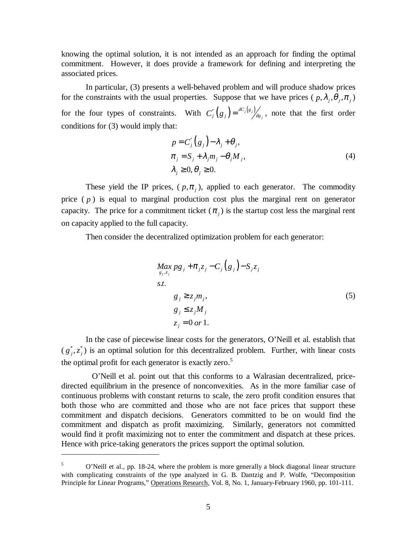knowing the optimal solution, it is not intended as an approach for finding the optimal commitment. However, it does provide a framework for defining and interpreting the associated prices.

In particular, (3) presents a well-behaved problem and will produce shadow prices for the constraints with the usual properties. Suppose that we have prices ( $p, \lambda_i, \theta_i, \pi_i$ ) for the four types of constraints. With  $C'_{j}(g_{j}) = \frac{dC_{j}(g_{j})}{dg_{j}}$ , note that the first order conditions for (3) would imply that:

$$
p = C'_{j}(g_{j}) - \lambda_{j} + \theta_{j},
$$
  
\n
$$
\pi_{j} = S_{j} + \lambda_{j} m_{j} - \theta_{j} M_{j},
$$
  
\n
$$
\lambda_{j} \ge 0, \theta_{j} \ge 0.
$$
\n(4)

These yield the IP prices,  $(p, \pi)$ , applied to each generator. The commodity price  $(p)$  is equal to marginal production cost plus the marginal rent on generator capacity. The price for a commitment ticket  $(\pi_i)$  is the startup cost less the marginal rent on capacity applied to the full capacity.

Then consider the decentralized optimization problem for each generator:

$$
Max_{g_j, z_j} pg_j + \pi_j z_j - C_j(g_j) - S_j z_j
$$
  
s.t.  

$$
g_j \ge z_j m_j,
$$
  

$$
g_j \le z_j M_j
$$
  

$$
z_j = 0 \text{ or } 1.
$$
 (5)

In the case of piecewise linear costs for the generators, O'Neill et al. establish that  $(g_j^*, z_i^*)$  is an optimal solution for this decentralized problem. Further, with linear costs the optimal profit for each generator is exactly zero.<sup>5</sup>

 O'Neill et al. point out that this conforms to a Walrasian decentralized, pricedirected equilibrium in the presence of nonconvexities. As in the more familiar case of continuous problems with constant returns to scale, the zero profit condition ensures that both those who are committed and those who are not face prices that support these commitment and dispatch decisions. Generators committed to be on would find the commitment and dispatch as profit maximizing. Similarly, generators not committed would find it profit maximizing not to enter the commitment and dispatch at these prices. Hence with price-taking generators the prices support the optimal solution.

<sup>5</sup> O'Neill et al., pp. 18-24, where the problem is more generally a block diagonal linear structure with complicating constraints of the type analyzed in G. B. Dantzig and P. Wolfe, "Decomposition Principle for Linear Programs," Operations Research, Vol. 8, No. 1, January-February 1960, pp. 101-111.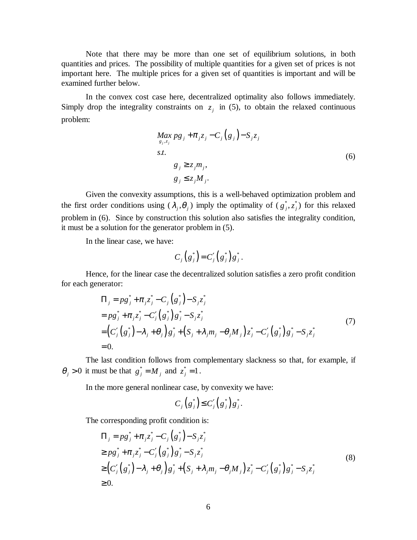Note that there may be more than one set of equilibrium solutions, in both quantities and prices. The possibility of multiple quantities for a given set of prices is not important here. The multiple prices for a given set of quantities is important and will be examined further below.

In the convex cost case here, decentralized optimality also follows immediately. Simply drop the integrality constraints on  $z_i$  in (5), to obtain the relaxed continuous problem:

$$
Max_{g_j, z_j} pg_j + \pi_j z_j - C_j (g_j) - S_j z_j
$$
  
s.t.  

$$
g_j \ge z_j m_j,
$$
  

$$
g_j \le z_j M_j.
$$
 (6)

Given the convexity assumptions, this is a well-behaved optimization problem and the first order conditions using  $(\lambda_i, \theta_i)$  imply the optimality of  $(g_i^*, z_i^*)$  for this relaxed problem in (6). Since by construction this solution also satisfies the integrality condition, it must be a solution for the generator problem in (5).

In the linear case, we have:

$$
C_j(g_j^*)=C_j'(g_j^*)g_j^*.
$$

Hence, for the linear case the decentralized solution satisfies a zero profit condition for each generator:

$$
\Pi_{j} = pg_{j}^{*} + \pi_{j}z_{j}^{*} - C_{j}(g_{j}^{*}) - S_{j}z_{j}^{*}
$$
\n
$$
= pg_{j}^{*} + \pi_{j}z_{j}^{*} - C_{j}'(g_{j}^{*})g_{j}^{*} - S_{j}z_{j}^{*}
$$
\n
$$
= (C_{j}'(g_{j}^{*}) - \lambda_{j} + \theta_{j})g_{j}^{*} + (S_{j} + \lambda_{j}m_{j} - \theta_{j}M_{j})z_{j}^{*} - C_{j}'(g_{j}^{*})g_{j}^{*} - S_{j}z_{j}^{*}
$$
\n
$$
= 0.
$$
\n(7)

The last condition follows from complementary slackness so that, for example, if  $\theta_j > 0$  it must be that  $g_j^* = M_j$  and  $z_j^* = 1$ .

In the more general nonlinear case, by convexity we have:

$$
C_j(g_j^*) \leq C_j'(g_j^*)g_j^*.
$$

The corresponding profit condition is:

$$
\Pi_{j} = pg_{j}^{*} + \pi_{j}z_{j}^{*} - C_{j}(g_{j}^{*}) - S_{j}z_{j}^{*}
$$
\n
$$
\geq pg_{j}^{*} + \pi_{j}z_{j}^{*} - C_{j}'(g_{j}^{*})g_{j}^{*} - S_{j}z_{j}^{*}
$$
\n
$$
\geq (C_{j}'(g_{j}^{*}) - \lambda_{j} + \theta_{j})g_{j}^{*} + (S_{j} + \lambda_{j}m_{j} - \theta_{j}M_{j})z_{j}^{*} - C_{j}'(g_{j}^{*})g_{j}^{*} - S_{j}z_{j}^{*}
$$
\n
$$
\geq 0.
$$
\n(8)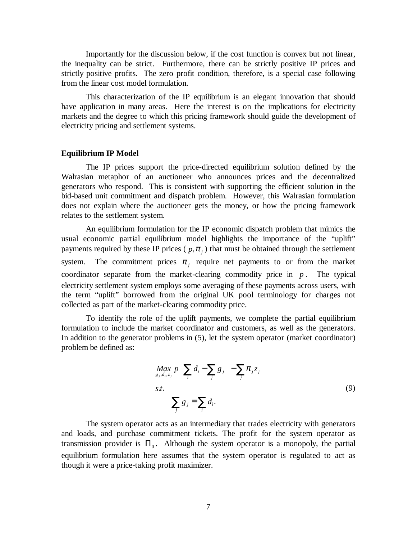Importantly for the discussion below, if the cost function is convex but not linear, the inequality can be strict. Furthermore, there can be strictly positive IP prices and strictly positive profits. The zero profit condition, therefore, is a special case following from the linear cost model formulation.

This characterization of the IP equilibrium is an elegant innovation that should have application in many areas. Here the interest is on the implications for electricity markets and the degree to which this pricing framework should guide the development of electricity pricing and settlement systems.

#### **Equilibrium IP Model**

The IP prices support the price-directed equilibrium solution defined by the Walrasian metaphor of an auctioneer who announces prices and the decentralized generators who respond. This is consistent with supporting the efficient solution in the bid-based unit commitment and dispatch problem. However, this Walrasian formulation does not explain where the auctioneer gets the money, or how the pricing framework relates to the settlement system.

An equilibrium formulation for the IP economic dispatch problem that mimics the usual economic partial equilibrium model highlights the importance of the "uplift" payments required by these IP prices ( $p, \pi$ ) that must be obtained through the settlement system. The commitment prices  $\pi$ , require net payments to or from the market coordinator separate from the market-clearing commodity price in *p* . The typical electricity settlement system employs some averaging of these payments across users, with the term "uplift" borrowed from the original UK pool terminology for charges not collected as part of the market-clearing commodity price.

To identify the role of the uplift payments, we complete the partial equilibrium formulation to include the market coordinator and customers, as well as the generators. In addition to the generator problems in (5), let the system operator (market coordinator) problem be defined as:

$$
\underset{g_j, d_i, z_j}{\underset{j}{\text{Max}}} p\left(\sum_i d_i - \sum_j g_j\right) - \sum_j \pi_j z_j
$$
\n
$$
s.t. \sum_j g_j = \sum_i d_i.
$$
\n(9)

The system operator acts as an intermediary that trades electricity with generators and loads, and purchase commitment tickets. The profit for the system operator as transmission provider is  $\Pi_0$ . Although the system operator is a monopoly, the partial equilibrium formulation here assumes that the system operator is regulated to act as though it were a price-taking profit maximizer.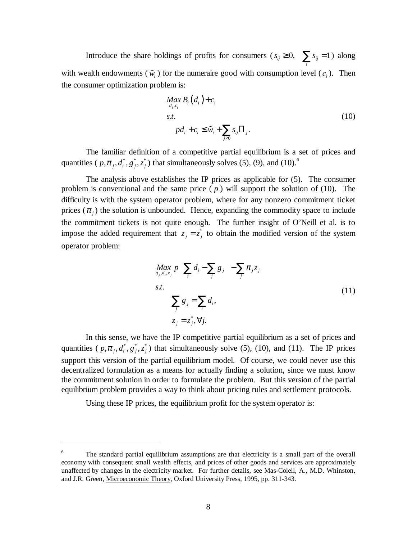Introduce the share holdings of profits for consumers ( $s_{ij} \ge 0$ ,  $\sum s_{ij} = 1$  $s_{ij} \ge 0$ ,  $\sum_{i} s_{ij} = 1$ ) along Introduce the share holdings of profits for consumers ( $s_{ij} \ge 0$ ,  $\sum_i s_{ij} = 1$ ) along with wealth endowments ( $\tilde{w}_i$ ) for the numeraire good with consumption level ( $c_i$ ). Then the consumer optimization problem is:

em is:  
\n
$$
\underset{d_i, c_i}{Max} B_i(d_i) + c_i
$$
\ns.t.  
\n
$$
pd_i + c_i \leq \tilde{w}_i + \sum_{j \geq 0} s_{ij} \Pi_j.
$$
\n(10)

 The familiar definition of a competitive partial equilibrium is a set of prices and quantities (  $p, \pi_j, d_i^*, g_j^*, z_i^*$ ) that simultaneously solves (5), (9), and (10).<sup>6</sup>

The analysis above establishes the IP prices as applicable for (5). The consumer problem is conventional and the same price  $(p)$  will support the solution of  $(10)$ . The difficulty is with the system operator problem, where for any nonzero commitment ticket prices  $(\pi_i)$  the solution is unbounded. Hence, expanding the commodity space to include the commitment tickets is not quite enough. The further insight of O'Neill et al. is to impose the added requirement that  $z_j = z_j^*$  to obtain the modified version of the system operator problem:

$$
\begin{aligned}\n\max_{g_j, d_i, z_j} p\left(\sum_i d_i - \sum_j g_j\right) - \sum_j \pi_j z_j \\
s.t. \\
\sum_j g_j &= \sum_i d_i, \\
z_j &= z_j^*, \forall j.\n\end{aligned} \tag{11}
$$

 In this sense, we have the IP competitive partial equilibrium as a set of prices and quantities (  $p, \pi_j, d_i^*, g_j^*, z_j^*$ ) that simultaneously solve (5), (10), and (11). The IP prices support this version of the partial equilibrium model. Of course, we could never use this decentralized formulation as a means for actually finding a solution, since we must know the commitment solution in order to formulate the problem. But this version of the partial equilibrium problem provides a way to think about pricing rules and settlement protocols.

Using these IP prices, the equilibrium profit for the system operator is:

<sup>&</sup>lt;sup>6</sup> The standard partial equilibrium assumptions are that electricity is a small part of the overall economy with consequent small wealth effects, and prices of other goods and services are approximately unaffected by changes in the electricity market. For further details, see Mas-Colell, A., M.D. Whinston, and J.R. Green, Microeconomic Theory, Oxford University Press, 1995, pp. 311-343.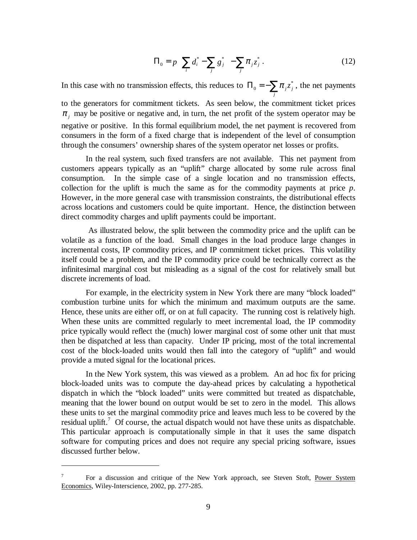$$
\Pi_0 = p \left( \sum_i d_i^* - \sum_j g_j^* \right) - \sum_j \pi_j z_j^* \,. \tag{12}
$$

In this case with no transmission effects, this reduces to  $\Pi_0 = -\sum \pi_j z^*_j$  $\Pi_0 = -\sum_j \pi_j z_j^*$ , the net payments

to the generators for commitment tickets. As seen below, the commitment ticket prices  $\pi$ , may be positive or negative and, in turn, the net profit of the system operator may be negative or positive. In this formal equilibrium model, the net payment is recovered from consumers in the form of a fixed charge that is independent of the level of consumption through the consumers' ownership shares of the system operator net losses or profits.

In the real system, such fixed transfers are not available. This net payment from customers appears typically as an "uplift" charge allocated by some rule across final consumption. In the simple case of a single location and no transmission effects, collection for the uplift is much the same as for the commodity payments at price *p*. However, in the more general case with transmission constraints, the distributional effects across locations and customers could be quite important. Hence, the distinction between direct commodity charges and uplift payments could be important.

 As illustrated below, the split between the commodity price and the uplift can be volatile as a function of the load. Small changes in the load produce large changes in incremental costs, IP commodity prices, and IP commitment ticket prices. This volatility itself could be a problem, and the IP commodity price could be technically correct as the infinitesimal marginal cost but misleading as a signal of the cost for relatively small but discrete increments of load.

For example, in the electricity system in New York there are many "block loaded" combustion turbine units for which the minimum and maximum outputs are the same. Hence, these units are either off, or on at full capacity. The running cost is relatively high. When these units are committed regularly to meet incremental load, the IP commodity price typically would reflect the (much) lower marginal cost of some other unit that must then be dispatched at less than capacity. Under IP pricing, most of the total incremental cost of the block-loaded units would then fall into the category of "uplift" and would provide a muted signal for the locational prices.

In the New York system, this was viewed as a problem. An ad hoc fix for pricing block-loaded units was to compute the day-ahead prices by calculating a hypothetical dispatch in which the "block loaded" units were committed but treated as dispatchable, meaning that the lower bound on output would be set to zero in the model. This allows these units to set the marginal commodity price and leaves much less to be covered by the residual uplift.<sup>7</sup> Of course, the actual dispatch would not have these units as dispatchable. This particular approach is computationally simple in that it uses the same dispatch software for computing prices and does not require any special pricing software, issues discussed further below.

<sup>7</sup> For a discussion and critique of the New York approach, see Steven Stoft, Power System Economics, Wiley-Interscience, 2002, pp. 277-285.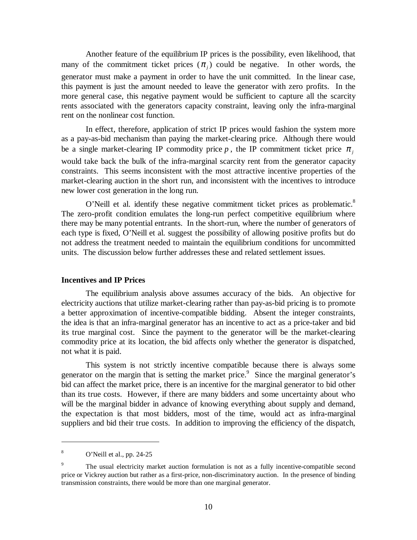Another feature of the equilibrium IP prices is the possibility, even likelihood, that many of the commitment ticket prices  $(\pi_i)$  could be negative. In other words, the generator must make a payment in order to have the unit committed. In the linear case, this payment is just the amount needed to leave the generator with zero profits. In the more general case, this negative payment would be sufficient to capture all the scarcity rents associated with the generators capacity constraint, leaving only the infra-marginal rent on the nonlinear cost function.

In effect, therefore, application of strict IP prices would fashion the system more as a pay-as-bid mechanism than paying the market-clearing price. Although there would be a single market-clearing IP commodity price  $p$ , the IP commitment ticket price  $\pi$ would take back the bulk of the infra-marginal scarcity rent from the generator capacity constraints. This seems inconsistent with the most attractive incentive properties of the market-clearing auction in the short run, and inconsistent with the incentives to introduce new lower cost generation in the long run.

O'Neill et al. identify these negative commitment ticket prices as problematic.<sup>8</sup> The zero-profit condition emulates the long-run perfect competitive equilibrium where there may be many potential entrants. In the short-run, where the number of generators of each type is fixed, O'Neill et al. suggest the possibility of allowing positive profits but do not address the treatment needed to maintain the equilibrium conditions for uncommitted units. The discussion below further addresses these and related settlement issues.

#### **Incentives and IP Prices**

The equilibrium analysis above assumes accuracy of the bids. An objective for electricity auctions that utilize market-clearing rather than pay-as-bid pricing is to promote a better approximation of incentive-compatible bidding. Absent the integer constraints, the idea is that an infra-marginal generator has an incentive to act as a price-taker and bid its true marginal cost. Since the payment to the generator will be the market-clearing commodity price at its location, the bid affects only whether the generator is dispatched, not what it is paid.

This system is not strictly incentive compatible because there is always some generator on the margin that is setting the market price. $\degree$  Since the marginal generator's bid can affect the market price, there is an incentive for the marginal generator to bid other than its true costs. However, if there are many bidders and some uncertainty about who will be the marginal bidder in advance of knowing everything about supply and demand, the expectation is that most bidders, most of the time, would act as infra-marginal suppliers and bid their true costs. In addition to improving the efficiency of the dispatch,

<sup>8</sup> O'Neill et al., pp. 24-25

<sup>9</sup> The usual electricity market auction formulation is not as a fully incentive-compatible second price or Vickrey auction but rather as a first-price, non-discriminatory auction. In the presence of binding transmission constraints, there would be more than one marginal generator.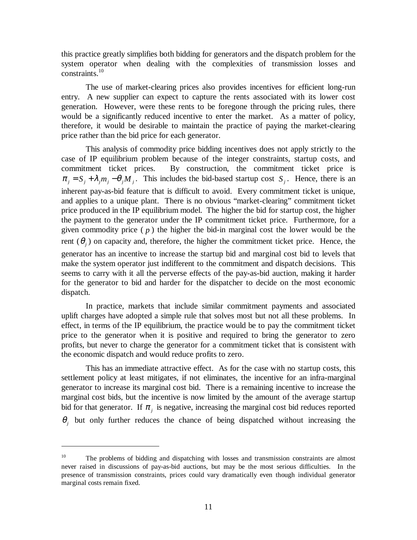this practice greatly simplifies both bidding for generators and the dispatch problem for the system operator when dealing with the complexities of transmission losses and constraints.<sup>10</sup>

The use of market-clearing prices also provides incentives for efficient long-run entry. A new supplier can expect to capture the rents associated with its lower cost generation. However, were these rents to be foregone through the pricing rules, there would be a significantly reduced incentive to enter the market. As a matter of policy, therefore, it would be desirable to maintain the practice of paying the market-clearing price rather than the bid price for each generator.

This analysis of commodity price bidding incentives does not apply strictly to the case of IP equilibrium problem because of the integer constraints, startup costs, and commitment ticket prices. By construction, the commitment ticket price is  $\pi_i = S_i + \lambda_i m_i - \theta_i M_i$ . This includes the bid-based startup cost *S<sub>i</sub>*. Hence, there is an inherent pay-as-bid feature that is difficult to avoid. Every commitment ticket is unique, and applies to a unique plant. There is no obvious "market-clearing" commitment ticket price produced in the IP equilibrium model. The higher the bid for startup cost, the higher the payment to the generator under the IP commitment ticket price. Furthermore, for a given commodity price  $(p)$  the higher the bid-in marginal cost the lower would be the rent  $(\theta_i)$  on capacity and, therefore, the higher the commitment ticket price. Hence, the generator has an incentive to increase the startup bid and marginal cost bid to levels that make the system operator just indifferent to the commitment and dispatch decisions. This seems to carry with it all the perverse effects of the pay-as-bid auction, making it harder for the generator to bid and harder for the dispatcher to decide on the most economic dispatch.

In practice, markets that include similar commitment payments and associated uplift charges have adopted a simple rule that solves most but not all these problems. In effect, in terms of the IP equilibrium, the practice would be to pay the commitment ticket price to the generator when it is positive and required to bring the generator to zero profits, but never to charge the generator for a commitment ticket that is consistent with the economic dispatch and would reduce profits to zero.

This has an immediate attractive effect. As for the case with no startup costs, this settlement policy at least mitigates, if not eliminates, the incentive for an infra-marginal generator to increase its marginal cost bid. There is a remaining incentive to increase the marginal cost bids, but the incentive is now limited by the amount of the average startup bid for that generator. If  $\pi$ , is negative, increasing the marginal cost bid reduces reported  $\theta$ , but only further reduces the chance of being dispatched without increasing the

 $10$  The problems of bidding and dispatching with losses and transmission constraints are almost never raised in discussions of pay-as-bid auctions, but may be the most serious difficulties. In the presence of transmission constraints, prices could vary dramatically even though individual generator marginal costs remain fixed.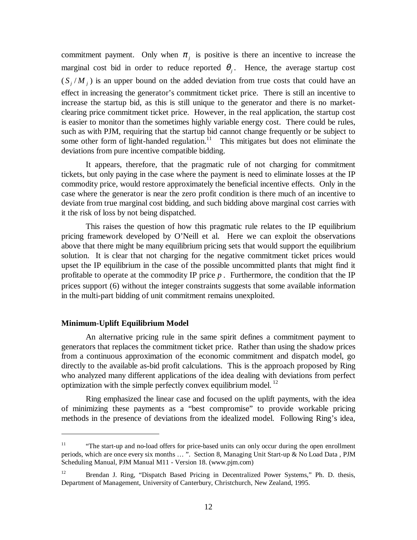commitment payment. Only when  $\pi_i$  is positive is there an incentive to increase the marginal cost bid in order to reduce reported  $\theta_i$ . Hence, the average startup cost  $(S_i/M_i)$  is an upper bound on the added deviation from true costs that could have an effect in increasing the generator's commitment ticket price. There is still an incentive to increase the startup bid, as this is still unique to the generator and there is no marketclearing price commitment ticket price. However, in the real application, the startup cost is easier to monitor than the sometimes highly variable energy cost. There could be rules, such as with PJM, requiring that the startup bid cannot change frequently or be subject to some other form of light-handed regulation.<sup>11</sup> This mitigates but does not eliminate the deviations from pure incentive compatible bidding.

It appears, therefore, that the pragmatic rule of not charging for commitment tickets, but only paying in the case where the payment is need to eliminate losses at the IP commodity price, would restore approximately the beneficial incentive effects. Only in the case where the generator is near the zero profit condition is there much of an incentive to deviate from true marginal cost bidding, and such bidding above marginal cost carries with it the risk of loss by not being dispatched.

This raises the question of how this pragmatic rule relates to the IP equilibrium pricing framework developed by O'Neill et al. Here we can exploit the observations above that there might be many equilibrium pricing sets that would support the equilibrium solution. It is clear that not charging for the negative commitment ticket prices would upset the IP equilibrium in the case of the possible uncommitted plants that might find it profitable to operate at the commodity IP price  $p$ . Furthermore, the condition that the IP prices support (6) without the integer constraints suggests that some available information in the multi-part bidding of unit commitment remains unexploited.

#### **Minimum-Uplift Equilibrium Model**

 $\overline{a}$ 

An alternative pricing rule in the same spirit defines a commitment payment to generators that replaces the commitment ticket price. Rather than using the shadow prices from a continuous approximation of the economic commitment and dispatch model, go directly to the available as-bid profit calculations. This is the approach proposed by Ring who analyzed many different applications of the idea dealing with deviations from perfect optimization with the simple perfectly convex equilibrium model.<sup>12</sup>

Ring emphasized the linear case and focused on the uplift payments, with the idea of minimizing these payments as a "best compromise" to provide workable pricing methods in the presence of deviations from the idealized model. Following Ring's idea,

<sup>&</sup>lt;sup>11</sup> "The start-up and no-load offers for price-based units can only occur during the open enrollment periods, which are once every six months … ". Section 8, Managing Unit Start-up & No Load Data , PJM Scheduling Manual, PJM Manual M11 - Version 18. (www.pjm.com)

<sup>&</sup>lt;sup>12</sup> Brendan J. Ring, "Dispatch Based Pricing in Decentralized Power Systems," Ph. D. thesis, Department of Management, University of Canterbury, Christchurch, New Zealand, 1995.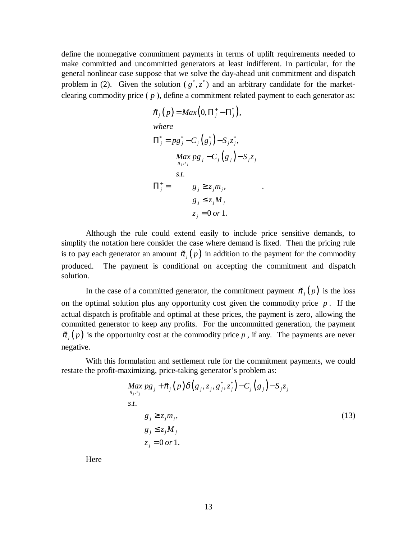define the nonnegative commitment payments in terms of uplift requirements needed to make committed and uncommitted generators at least indifferent. In particular, for the general nonlinear case suppose that we solve the day-ahead unit commitment and dispatch problem in (2). Given the solution ( $g^*$ , $z^*$ ) and an arbitrary candidate for the marketclearing commodity price ( *p* ), define a commitment related payment to each generator as:

$$
\tilde{\pi}_j(p) = Max(0, \Pi_j^+ - \Pi_j^*),
$$
\nwhere\n
$$
\Pi_j^* = pg_j^* - C_j(g_j^*) - S_j z_j^*,
$$
\n
$$
\Pi_j^* = \begin{cases}\nMax \, pg_j - C_j(g_j) - S_j z_j \\
s.t. \\
g_j \ge z_j m_j, \\
g_j \le z_j M_j \\
z_j = 0 \, or 1.\n\end{cases}.
$$

Although the rule could extend easily to include price sensitive demands, to simplify the notation here consider the case where demand is fixed. Then the pricing rule is to pay each generator an amount  $\tilde{\pi}_i(p)$  in addition to the payment for the commodity produced. The payment is conditional on accepting the commitment and dispatch solution.

In the case of a committed generator, the commitment payment  $\tilde{\pi}_i(p)$  is the loss on the optimal solution plus any opportunity cost given the commodity price *p* . If the actual dispatch is profitable and optimal at these prices, the payment is zero, allowing the committed generator to keep any profits. For the uncommitted generation, the payment In the case of a committed generator, the commitment payment  $\tilde{\pi}_j(p)$  is the loss<br>on the optimal solution plus any opportunity cost given the commodity price *p*. If the<br>actual dispatch is profitable and optimal at the negative.

With this formulation and settlement rule for the commitment payments, we could restate the profit-maximizing, price-taking generator's problem as:

$$
Max_{g_j, z_j} pg_j + \tilde{\pi}_j(p) \delta(g_j, z_j, g_j^*, z_j^*) - C_j(g_j) - S_j z_j
$$
  
s.t.  

$$
g_j \ge z_j m_j,
$$
  

$$
g_j \le z_j M_j
$$
  

$$
z_j = 0 \text{ or } 1.
$$
 (13)

**Here**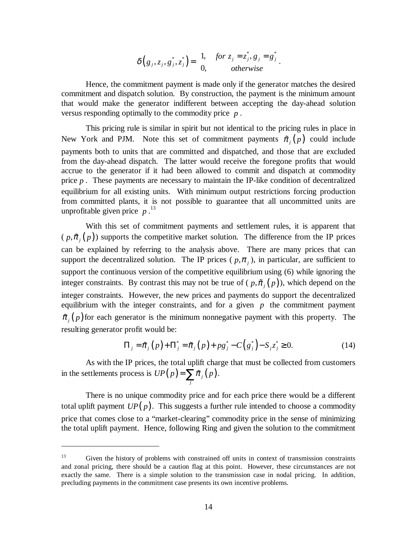$$
\delta\left(g_j, z_j, g_j^*, z_j^*\right) = \begin{cases} 1, & \text{for } z_j = z_j^*, g_j = g_j^* \\ 0, & \text{otherwise} \end{cases}.
$$

Hence, the commitment payment is made only if the generator matches the desired commitment and dispatch solution. By construction, the payment is the minimum amount that would make the generator indifferent between accepting the day-ahead solution versus responding optimally to the commodity price *p* .

This pricing rule is similar in spirit but not identical to the pricing rules in place in New York and PJM. Note this set of commitment payments  $\tilde{\pi}$ , (p) could include payments both to units that are committed and dispatched, and those that are excluded from the day-ahead dispatch. The latter would receive the foregone profits that would accrue to the generator if it had been allowed to commit and dispatch at commodity price *p* . These payments are necessary to maintain the IP-like condition of decentralized equilibrium for all existing units. With minimum output restrictions forcing production from committed plants, it is not possible to guarantee that all uncommitted units are unprofitable given price  $p^{13}$ 

With this set of commitment payments and settlement rules, it is apparent that  $(p,\tilde{\pi}_{i}(p))$  supports the competitive market solution. The difference from the IP prices can be explained by referring to the analysis above. There are many prices that can support the decentralized solution. The IP prices  $(p, \pi)$ , in particular, are sufficient to support the continuous version of the competitive equilibrium using (6) while ignoring the  $(p, \tilde{\pi}_j(p))$  supports the competitive market solution. The difference from the IP prices<br>can be explained by referring to the analysis above. There are many prices that can<br>support the decentralized solution. The IP pric integer constraints. However, the new prices and payments do support the decentralized equilibrium with the integer constraints, and for a given  $p$  the commitment payment support the continuous version of the competitive equilibrium using (6) while ignoring the integer constraints. By contrast this may not be true of ( $p, \tilde{\pi}_j(p)$ ), which depend on the integer constraints. However, the ne resulting generator profit would be: Frowever, the new prices and payments do support the decentralized<br>ne integer constraints, and for a given p the commitment payment<br>nerator is the minimum nonnegative payment with this property. The<br>profit would be:<br> $\Pi_j =$ 

$$
\Pi_{j} = \tilde{\pi}_{j}(p) + \Pi_{j}^{*} = \tilde{\pi}_{j}(p) + pg_{j}^{*} - C(g_{j}^{*}) - S_{j}z_{j}^{*} \ge 0.
$$
\n(14)

As with the IP prices, the total uplift charge that must be collected from customers in the settlements process is  $UP(p) = \sum \tilde{\pi}_j(p)$ *g uld be:*<br> *p*) +  $\Pi_j^* = \tilde{\pi}_j(p) + p$ <br> *j*, the total uplift chan<br> *UP*(*p*) =  $\sum_j \tilde{\pi}_j(p)$ .

There is no unique commodity price and for each price there would be a different total uplift payment  $UP(p)$ . This suggests a further rule intended to choose a commodity price that comes close to a "market-clearing" commodity price in the sense of minimizing the total uplift payment. Hence, following Ring and given the solution to the commitment

<sup>&</sup>lt;sup>13</sup> Given the history of problems with constrained off units in context of transmission constraints and zonal pricing, there should be a caution flag at this point. However, these circumstances are not exactly the same. There is a simple solution to the transmission case in nodal pricing. In addition, precluding payments in the commitment case presents its own incentive problems.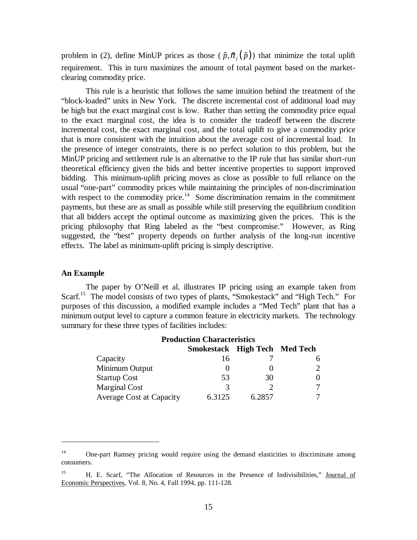problem in (2), define MinUP prices as those ( $\tilde{p}, \tilde{\pi}_i(\tilde{p})$ ) that minimize the total uplift requirement. This in turn maximizes the amount of total payment based on the marketclearing commodity price.

This rule is a heuristic that follows the same intuition behind the treatment of the "block-loaded" units in New York. The discrete incremental cost of additional load may be high but the exact marginal cost is low. Rather than setting the commodity price equal to the exact marginal cost, the idea is to consider the tradeoff between the discrete incremental cost, the exact marginal cost, and the total uplift to give a commodity price that is more consistent with the intuition about the average cost of incremental load. In the presence of integer constraints, there is no perfect solution to this problem, but the MinUP pricing and settlement rule is an alternative to the IP rule that has similar short-run theoretical efficiency given the bids and better incentive properties to support improved bidding. This minimum-uplift pricing moves as close as possible to full reliance on the usual "one-part" commodity prices while maintaining the principles of non-discrimination with respect to the commodity price.<sup>14</sup> Some discrimination remains in the commitment payments, but these are as small as possible while still preserving the equilibrium condition that all bidders accept the optimal outcome as maximizing given the prices. This is the pricing philosophy that Ring labeled as the "best compromise." However, as Ring suggested, the "best" property depends on further analysis of the long-run incentive effects. The label as minimum-uplift pricing is simply descriptive.

## **An Example**

 $\overline{a}$ 

 The paper by O'Neill et al. illustrates IP pricing using an example taken from Scarf.<sup>15</sup> The model consists of two types of plants, "Smokestack" and "High Tech." For purposes of this discussion, a modified example includes a "Med Tech" plant that has a minimum output level to capture a common feature in electricity markets. The technology summary for these three types of facilities includes:

| <b>Production Characteristics</b> |        |                               |  |  |  |  |  |  |  |  |
|-----------------------------------|--------|-------------------------------|--|--|--|--|--|--|--|--|
|                                   |        |                               |  |  |  |  |  |  |  |  |
| 16                                |        |                               |  |  |  |  |  |  |  |  |
|                                   |        | $\mathcal{D}_{\cdot}$         |  |  |  |  |  |  |  |  |
| 53                                | 30     | 0                             |  |  |  |  |  |  |  |  |
|                                   |        |                               |  |  |  |  |  |  |  |  |
| 6.3125                            | 6.2857 |                               |  |  |  |  |  |  |  |  |
|                                   |        | Smokestack High Tech Med Tech |  |  |  |  |  |  |  |  |

<sup>&</sup>lt;sup>14</sup> One-part Ramsey pricing would require using the demand elasticities to discriminate among consumers.

<sup>&</sup>lt;sup>15</sup> H. E. Scarf, "The Allocation of Resources in the Presence of Indivisibilities," Journal of Economic Perspectives, Vol. 8, No. 4, Fall 1994, pp. 111-128.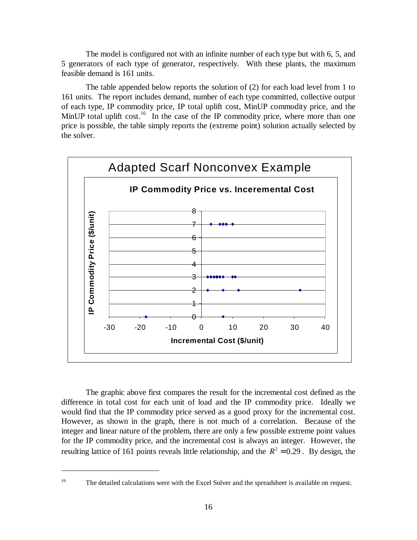The model is configured not with an infinite number of each type but with 6, 5, and 5 generators of each type of generator, respectively. With these plants, the maximum feasible demand is 161 units.

The table appended below reports the solution of (2) for each load level from 1 to 161 units. The report includes demand, number of each type committed, collective output of each type, IP commodity price, IP total uplift cost, MinUP commodity price, and the MinUP total uplift cost.<sup>16</sup> In the case of the IP commodity price, where more than one price is possible, the table simply reports the (extreme point) solution actually selected by the solver.



The graphic above first compares the result for the incremental cost defined as the difference in total cost for each unit of load and the IP commodity price. Ideally we would find that the IP commodity price served as a good proxy for the incremental cost. However, as shown in the graph, there is not much of a correlation. Because of the integer and linear nature of the problem, there are only a few possible extreme point values for the IP commodity price, and the incremental cost is always an integer. However, the resulting lattice of 161 points reveals little relationship, and the  $R^2 = 0.29$ . By design, the

<sup>&</sup>lt;sup>16</sup> The detailed calculations were with the Excel Solver and the spreadsheet is available on request.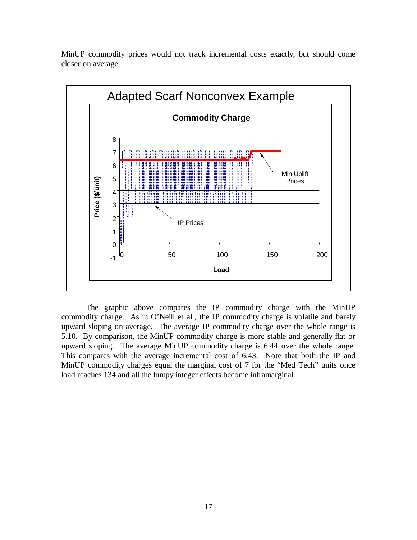

MinUP commodity prices would not track incremental costs exactly, but should come closer on average.

The graphic above compares the IP commodity charge with the MinUP commodity charge. As in O'Neill et al., the IP commodity charge is volatile and barely upward sloping on average. The average IP commodity charge over the whole range is 5.10. By comparison, the MinUP commodity charge is more stable and generally flat or upward sloping. The average MinUP commodity charge is 6.44 over the whole range. This compares with the average incremental cost of 6.43. Note that both the IP and MinUP commodity charges equal the marginal cost of 7 for the "Med Tech" units once load reaches 134 and all the lumpy integer effects become inframarginal.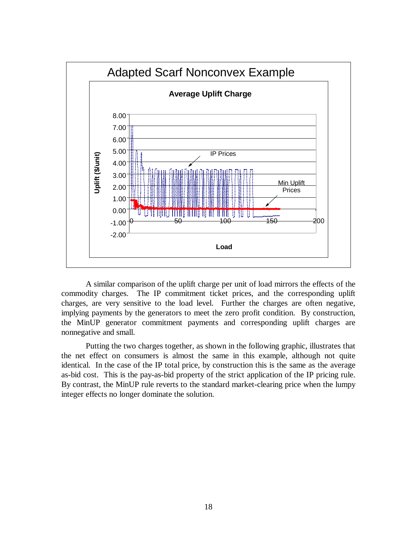

A similar comparison of the uplift charge per unit of load mirrors the effects of the commodity charges. The IP commitment ticket prices, and the corresponding uplift charges, are very sensitive to the load level. Further the charges are often negative, implying payments by the generators to meet the zero profit condition. By construction, the MinUP generator commitment payments and corresponding uplift charges are nonnegative and small.

Putting the two charges together, as shown in the following graphic, illustrates that the net effect on consumers is almost the same in this example, although not quite identical. In the case of the IP total price, by construction this is the same as the average as-bid cost. This is the pay-as-bid property of the strict application of the IP pricing rule. By contrast, the MinUP rule reverts to the standard market-clearing price when the lumpy integer effects no longer dominate the solution.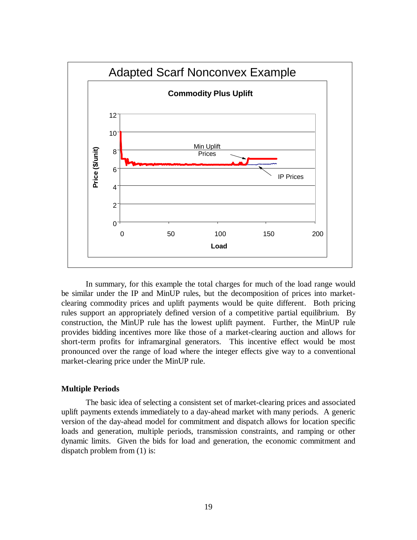

In summary, for this example the total charges for much of the load range would be similar under the IP and MinUP rules, but the decomposition of prices into marketclearing commodity prices and uplift payments would be quite different. Both pricing rules support an appropriately defined version of a competitive partial equilibrium. By construction, the MinUP rule has the lowest uplift payment. Further, the MinUP rule provides bidding incentives more like those of a market-clearing auction and allows for short-term profits for inframarginal generators. This incentive effect would be most pronounced over the range of load where the integer effects give way to a conventional market-clearing price under the MinUP rule.

## **Multiple Periods**

The basic idea of selecting a consistent set of market-clearing prices and associated uplift payments extends immediately to a day-ahead market with many periods. A generic version of the day-ahead model for commitment and dispatch allows for location specific loads and generation, multiple periods, transmission constraints, and ramping or other dynamic limits. Given the bids for load and generation, the economic commitment and dispatch problem from (1) is: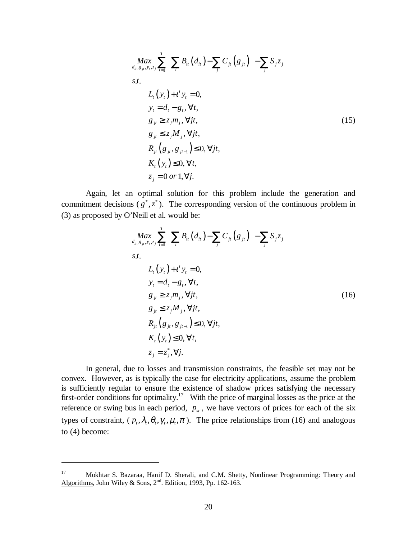$$
\begin{aligned}\n\max_{d_{ii}, g_{ji}, y_i, z_j} &\sum_{t=1}^{T} \left( \sum_{i} B_{ii} \left( d_{ii} \right) - \sum_{j} C_{ji} \left( g_{ji} \right) \right) - \sum_{j} S_{j} z_{j} \\
s.t. \\
&L_{t} \left( y_{t} \right) + t^{t} y_{t} = 0, \\
&y_{t} = d_{t} - g_{t}, \forall t, \\
&g_{jt} \ge z_{j} m_{j}, \forall j t, \\
&g_{jt} \le z_{j} M_{j}, \forall j t, \\
&R_{ji} \left( g_{ji}, g_{ji-1} \right) \le 0, \forall j t, \\
&K_{t} \left( y_{t} \right) \le 0, \forall t, \\
&z_{j} = 0 \text{ or } 1, \forall j.\n\end{aligned} \tag{15}
$$

Again, let an optimal solution for this problem include the generation and commitment decisions  $(g^*, z^*)$ . The corresponding version of the continuous problem in (3) as proposed by O'Neill et al. would be:

$$
\begin{aligned}\n\max_{d_{ii}, g_{ji}, y_i, z_j} &\sum_{t=1}^{T} \Biggl( \sum_{i} B_{ii} \left( d_{ii} \right) - \sum_{j} C_{ji} \left( g_{ji} \right) \Biggr) - \sum_{j} S_{j} z_j \\
s.t. \\
L_{t} \left( y_t \right) + t' y_t &= 0, \\
y_t &= d_t - g_t, \forall t, \\
g_{jt} \ge z_j m_j, \forall j t, \\
g_{jt} \le z_j M_j, \forall j t, \\
R_{jt} \left( g_{jt}, g_{jt-1} \right) \le 0, \forall j t, \\
K_t \left( y_t \right) \le 0, \forall t, \\
z_j &= z_j^*, \forall j.\n\end{aligned} \tag{16}
$$

In general, due to losses and transmission constraints, the feasible set may not be convex. However, as is typically the case for electricity applications, assume the problem is sufficiently regular to ensure the existence of shadow prices satisfying the necessary first-order conditions for optimality.<sup>17</sup> With the price of marginal losses as the price at the reference or swing bus in each period,  $p_{st}$ , we have vectors of prices for each of the six types of constraint,  $(p_t, \lambda_t, \theta_t, \gamma_t, \mu_t, \pi)$ . The price relationships from (16) and analogous to (4) become:

<sup>17</sup> Mokhtar S. Bazaraa, Hanif D. Sherali, and C.M. Shetty, Nonlinear Programming: Theory and Algorithms, John Wiley & Sons,  $2<sup>nd</sup>$ . Edition, 1993, Pp. 162-163.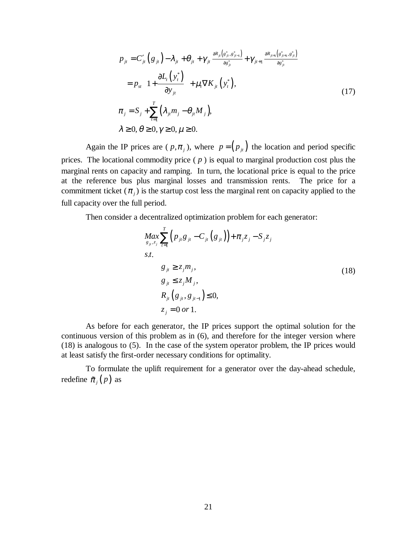$$
p_{ji} = C'_{ji} (g_{ji}) - \lambda_{ji} + \theta_{ji} + \gamma_{ji} \frac{\partial R_{ji} (g_{ji}^*, g_{ji-1}^*)}{\partial g_{ji}^*} + \gamma_{ji+1} \frac{\partial R_{ji+1} (g_{ji+1}^*, g_{ji}^*)}{\partial g_{ji}^*}
$$
  
\n
$$
= p_{st} \left( 1 + \frac{\partial L_i (y_i^*)}{\partial y_{ji}} \right) + \mu_i \nabla K_{ji} (y_i^*),
$$
  
\n
$$
\pi_j = S_j + \sum_{t=1}^T (\lambda_{ji} m_j - \theta_{ji} M_j),
$$
  
\n
$$
\lambda \ge 0, \theta \ge 0, \gamma \ge 0, \mu \ge 0.
$$
  
\n(17)

Again the IP prices are ( $p, \pi_j$ ), where  $p = (p_{ji})$  the location and period specific prices. The locational commodity price ( *p* ) is equal to marginal production cost plus the marginal rents on capacity and ramping. In turn, the locational price is equal to the price at the reference bus plus marginal losses and transmission rents. The price for a commitment ticket  $(\pi_i)$  is the startup cost less the marginal rent on capacity applied to the full capacity over the full period.

Then consider a decentralized optimization problem for each generator:

$$
Max_{g_{ji},z_j} \sum_{t=1}^{T} (p_{ji}g_{jt} - C_{jt}(g_{jt})) + \pi_j z_j - S_j z_j
$$
  
s.t.  

$$
g_{jt} \ge z_j m_j,
$$

$$
g_{jt} \le z_j M_j,
$$

$$
R_{jt}(g_{jt}, g_{jt-1}) \le 0,
$$

$$
z_j = 0 \text{ or } 1.
$$
 (18)

As before for each generator, the IP prices support the optimal solution for the continuous version of this problem as in (6), and therefore for the integer version where (18) is analogous to (5). In the case of the system operator problem, the IP prices would at least satisfy the first-order necessary conditions for optimality.

To formulate the uplift requirement for a generator over the day-ahead schedule, redefine  $\tilde{\pi}_i(p)$  as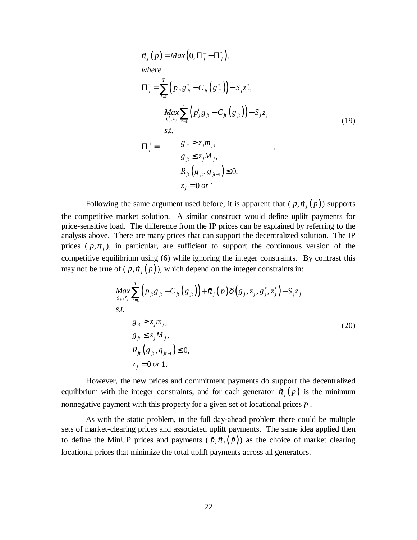$$
\tilde{\pi}_{j}(p) = Max(0, \Pi_{j}^{+} - \Pi_{j}^{*}),
$$
\nwhere\n
$$
\Pi_{j}^{*} = \sum_{t=1}^{T} (p_{jt}g_{jt}^{*} - C_{jt}(g_{jt}^{*})) - S_{j}z_{j}^{*},
$$
\n
$$
\Pi_{j}^{+} = \begin{cases}\nMax \sum_{s'_{j}, s_{j}}^{T} (p_{j}^{t}g_{jt} - C_{jt}(g_{jt})) - S_{j}z_{j} \\
s.t. & \text{if } s_{j} \in \mathbb{Z}_{j}, \\ s.t. & \text{if } s_{j} \in \mathbb{Z}_{j}, \\ s_{jt} \leq z_{j}M_{j}, \\ g_{jt} \leq z_{j}M_{j}, \\ R_{jt}(g_{jt}, g_{jt-1}) \leq 0, \\ z_{j} = 0 \text{ or } 1.\n\end{cases}
$$
\n(19)

Following the same argument used before, it is apparent that  $(p, \tilde{\pi}_i(p))$  supports the competitive market solution. A similar construct would define uplift payments for price-sensitive load. The difference from the IP prices can be explained by referring to the analysis above. There are many prices that can support the decentralized solution. The IP prices  $(p, \pi)$ , in particular, are sufficient to support the continuous version of the competitive equilibrium using (6) while ignoring the integer constraints. By contrast this price-sensitive load. The difference from the IP prices can be explained by analysis above. There are many prices that can support the decentralized s prices (  $p, \pi_j$ ), in particular, are sufficient to support the contin may not be true of  $(p, \tilde{\pi}_i(p))$ , which depend on the integer constraints in:

$$
Max_{g_{ji},z_j} \sum_{t=1}^{T} (p_{ji}g_{jt} - C_{jt}(g_{jt})) + \tilde{\pi}_j(p) \delta(g_j, z_j, g_j^*, z_j^*) - S_j z_j
$$
  
\ns.t.  
\n
$$
g_{jt} \ge z_j m_j,
$$
  
\n
$$
g_{jt} \le z_j M_j,
$$
  
\n
$$
R_{jt}(g_{jt}, g_{jt-1}) \le 0,
$$
  
\n
$$
z_j = 0 \text{ or } 1.
$$
\n(20)

However, the new prices and commitment payments do support the decentralized equilibrium with the integer constraints, and for each generator  $\tilde{\pi}_i(p)$  is the minimum nonnegative payment with this property for a given set of locational prices *p* .

As with the static problem, in the full day-ahead problem there could be multiple sets of market-clearing prices and associated uplift payments. The same idea applied then equilibrium with the integer constraints, and for each generator  $\pi_j(p)$  is the minimum<br>nonnegative payment with this property for a given set of locational prices p.<br>As with the static problem, in the full day-ahead prob locational prices that minimize the total uplift payments across all generators.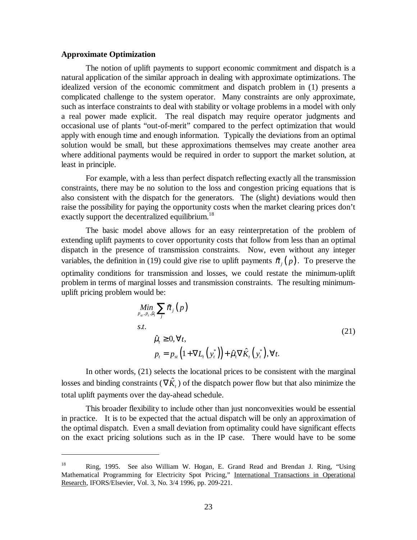### **Approximate Optimization**

 $\overline{a}$ 

The notion of uplift payments to support economic commitment and dispatch is a natural application of the similar approach in dealing with approximate optimizations. The idealized version of the economic commitment and dispatch problem in (1) presents a complicated challenge to the system operator. Many constraints are only approximate, such as interface constraints to deal with stability or voltage problems in a model with only a real power made explicit. The real dispatch may require operator judgments and occasional use of plants "out-of-merit" compared to the perfect optimization that would apply with enough time and enough information. Typically the deviations from an optimal solution would be small, but these approximations themselves may create another area where additional payments would be required in order to support the market solution, at least in principle.

For example, with a less than perfect dispatch reflecting exactly all the transmission constraints, there may be no solution to the loss and congestion pricing equations that is also consistent with the dispatch for the generators. The (slight) deviations would then raise the possibility for paying the opportunity costs when the market clearing prices don't exactly support the decentralized equilibrium.<sup>18</sup>

The basic model above allows for an easy reinterpretation of the problem of extending uplift payments to cover opportunity costs that follow from less than an optimal dispatch in the presence of transmission constraints. Now, even without any integer variables, the definition in (19) could give rise to uplift payments  $\tilde{\pi}_i(p)$ . To preserve the optimality conditions for transmission and losses, we could restate the minimum-uplift problem in terms of marginal losses and transmission constraints. The resulting minimumuplift pricing problem would be: )) co<br>nsmi<br>losse<br>be:<br> $\sum \tilde{\pi}$ 

$$
\begin{aligned}\n\underset{p_{st}, p_t, \hat{\mu}_t}{\text{Min}} \sum_{j} \tilde{\pi}_j \left( p \right) \\
\text{s.t.} \\
\hat{\mu}_t \ge 0, \forall t, \\
p_t = p_{st} \left( 1 + \nabla L_t \left( y_t^* \right) \right) + \hat{\mu}_t \nabla \hat{K}_t \left( y_t^* \right), \forall t.\n\end{aligned} \tag{21}
$$

In other words, (21) selects the locational prices to be consistent with the marginal losses and binding constraints ( $\nabla \hat{K}$ ) of the dispatch power flow but that also minimize the total uplift payments over the day-ahead schedule.

This broader flexibility to include other than just nonconvexities would be essential in practice. It is to be expected that the actual dispatch will be only an approximation of the optimal dispatch. Even a small deviation from optimality could have significant effects on the exact pricing solutions such as in the IP case. There would have to be some

<sup>18</sup> Ring, 1995. See also William W. Hogan, E. Grand Read and Brendan J. Ring, "Using Mathematical Programming for Electricity Spot Pricing," International Transactions in Operational Research, IFORS/Elsevier, Vol. 3, No. 3/4 1996, pp. 209-221.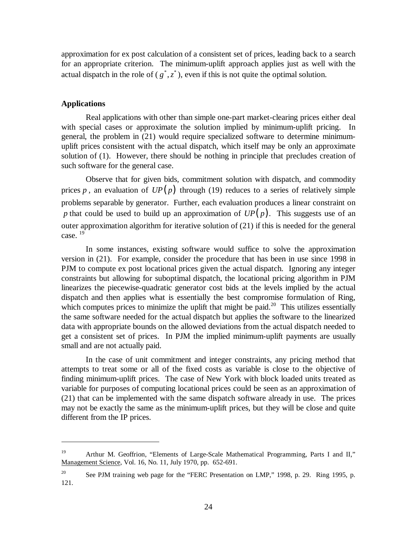approximation for ex post calculation of a consistent set of prices, leading back to a search for an appropriate criterion. The minimum-uplift approach applies just as well with the actual dispatch in the role of  $(g^*, z^*)$ , even if this is not quite the optimal solution.

### **Applications**

 $\overline{a}$ 

Real applications with other than simple one-part market-clearing prices either deal with special cases or approximate the solution implied by minimum-uplift pricing. In general, the problem in (21) would require specialized software to determine minimumuplift prices consistent with the actual dispatch, which itself may be only an approximate solution of (1). However, there should be nothing in principle that precludes creation of such software for the general case.

Observe that for given bids, commitment solution with dispatch, and commodity prices p, an evaluation of  $UP(p)$  through (19) reduces to a series of relatively simple problems separable by generator. Further, each evaluation produces a linear constraint on *p* that could be used to build up an approximation of  $UP(p)$ . This suggests use of an outer approximation algorithm for iterative solution of (21) if this is needed for the general case.<sup>19</sup>

In some instances, existing software would suffice to solve the approximation version in (21). For example, consider the procedure that has been in use since 1998 in PJM to compute ex post locational prices given the actual dispatch. Ignoring any integer constraints but allowing for suboptimal dispatch, the locational pricing algorithm in PJM linearizes the piecewise-quadratic generator cost bids at the levels implied by the actual dispatch and then applies what is essentially the best compromise formulation of Ring, which computes prices to minimize the uplift that might be paid.<sup>20</sup> This utilizes essentially the same software needed for the actual dispatch but applies the software to the linearized data with appropriate bounds on the allowed deviations from the actual dispatch needed to get a consistent set of prices. In PJM the implied minimum-uplift payments are usually small and are not actually paid.

In the case of unit commitment and integer constraints, any pricing method that attempts to treat some or all of the fixed costs as variable is close to the objective of finding minimum-uplift prices. The case of New York with block loaded units treated as variable for purposes of computing locational prices could be seen as an approximation of (21) that can be implemented with the same dispatch software already in use. The prices may not be exactly the same as the minimum-uplift prices, but they will be close and quite different from the IP prices.

<sup>&</sup>lt;sup>19</sup> Arthur M. Geoffrion, "Elements of Large-Scale Mathematical Programming, Parts I and II," Management Science, Vol. 16, No. 11, July 1970, pp. 652-691.

<sup>&</sup>lt;sup>20</sup> See PJM training web page for the "FERC Presentation on LMP," 1998, p. 29. Ring 1995, p. 121.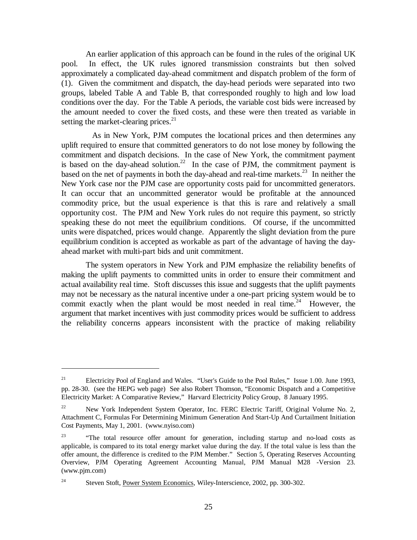An earlier application of this approach can be found in the rules of the original UK pool. In effect, the UK rules ignored transmission constraints but then solved approximately a complicated day-ahead commitment and dispatch problem of the form of (1). Given the commitment and dispatch, the day-head periods were separated into two groups, labeled Table A and Table B, that corresponded roughly to high and low load conditions over the day. For the Table A periods, the variable cost bids were increased by the amount needed to cover the fixed costs, and these were then treated as variable in setting the market-clearing prices. $^{21}$ 

 As in New York, PJM computes the locational prices and then determines any uplift required to ensure that committed generators to do not lose money by following the commitment and dispatch decisions. In the case of New York, the commitment payment is based on the day-ahead solution.<sup>22</sup> In the case of PJM, the commitment payment is based on the net of payments in both the day-ahead and real-time markets. $^{23}$  In neither the New York case nor the PJM case are opportunity costs paid for uncommitted generators. It can occur that an uncommitted generator would be profitable at the announced commodity price, but the usual experience is that this is rare and relatively a small opportunity cost. The PJM and New York rules do not require this payment, so strictly speaking these do not meet the equilibrium conditions. Of course, if the uncommitted units were dispatched, prices would change. Apparently the slight deviation from the pure equilibrium condition is accepted as workable as part of the advantage of having the dayahead market with multi-part bids and unit commitment.

The system operators in New York and PJM emphasize the reliability benefits of making the uplift payments to committed units in order to ensure their commitment and actual availability real time. Stoft discusses this issue and suggests that the uplift payments may not be necessary as the natural incentive under a one-part pricing system would be to commit exactly when the plant would be most needed in real time.<sup>24</sup> However, the argument that market incentives with just commodity prices would be sufficient to address the reliability concerns appears inconsistent with the practice of making reliability

<sup>&</sup>lt;sup>21</sup> Electricity Pool of England and Wales. "User's Guide to the Pool Rules," Issue 1.00. June 1993, pp. 28-30. (see the HEPG web page) See also Robert Thomson, "Economic Dispatch and a Competitive Electricity Market: A Comparative Review," Harvard Electricity Policy Group, 8 January 1995.

<sup>&</sup>lt;sup>22</sup> New York Independent System Operator, Inc. FERC Electric Tariff, Original Volume No. 2, Attachment C, Formulas For Determining Minimum Generation And Start-Up And Curtailment Initiation Cost Payments, May 1, 2001. (www.nyiso.com)

<sup>&</sup>lt;sup>23</sup> "The total resource offer amount for generation, including startup and no-load costs as applicable, is compared to its total energy market value during the day. If the total value is less than the offer amount, the difference is credited to the PJM Member." Section 5, Operating Reserves Accounting Overview, PJM Operating Agreement Accounting Manual, PJM Manual M28 -Version 23. (www.pjm.com)

<sup>&</sup>lt;sup>24</sup> Steven Stoft, <u>Power System Economics</u>, Wiley-Interscience, 2002, pp. 300-302.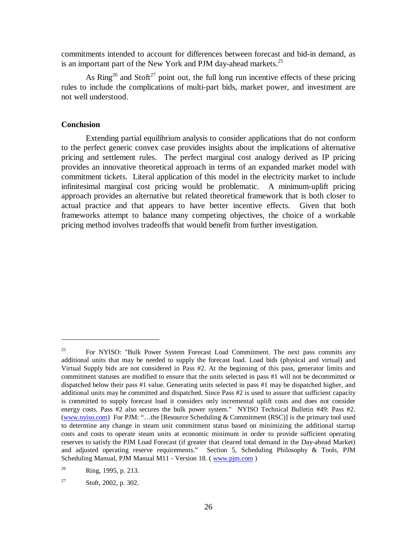commitments intended to account for differences between forecast and bid-in demand, as is an important part of the New York and PJM day-ahead markets. $^{25}$ 

As  $\text{Ring}^{26}$  and  $\text{Stoft}^{27}$  point out, the full long run incentive effects of these pricing rules to include the complications of multi-part bids, market power, and investment are not well understood.

#### **Conclusion**

 $\overline{a}$ 

Extending partial equilibrium analysis to consider applications that do not conform to the perfect generic convex case provides insights about the implications of alternative pricing and settlement rules. The perfect marginal cost analogy derived as IP pricing provides an innovative theoretical approach in terms of an expanded market model with commitment tickets. Literal application of this model in the electricity market to include infinitesimal marginal cost pricing would be problematic. A minimum-uplift pricing approach provides an alternative but related theoretical framework that is both closer to actual practice and that appears to have better incentive effects. Given that both frameworks attempt to balance many competing objectives, the choice of a workable pricing method involves tradeoffs that would benefit from further investigation.

<sup>&</sup>lt;sup>25</sup> For NYISO: "Bulk Power System Forecast Load Commitment. The next pass commits any additional units that may be needed to supply the forecast load. Load bids (physical and virtual) and Virtual Supply bids are not considered in Pass #2. At the beginning of this pass, generator limits and commitment statuses are modified to ensure that the units selected in pass #1 will not be decommitted or dispatched below their pass #1 value. Generating units selected in pass #1 may be dispatched higher, and additional units may be committed and dispatched. Since Pass #2 is used to assure that sufficient capacity is committed to supply forecast load it considers only incremental uplift costs and does not consider energy costs. Pass #2 also secures the bulk power system." NYISO Technical Bulletin #49: Pass #2. (www.nyiso.com) For PJM: "…the [Resource Scheduling & Commitment (RSC)] is the primary tool used to determine any change in steam unit commitment status based on minimizing the additional startup costs and costs to operate steam units at economic minimum in order to provide sufficient operating reserves to satisfy the PJM Load Forecast (if greater that cleared total demand in the Day-ahead Market) and adjusted operating reserve requirements." Section 5, Scheduling Philosophy & Tools, PJM Scheduling Manual, PJM Manual M11 - Version 18. ( www.pjm.com )

<sup>26</sup> Ring, 1995, p. 213.

<sup>27</sup> Stoft, 2002, p. 302.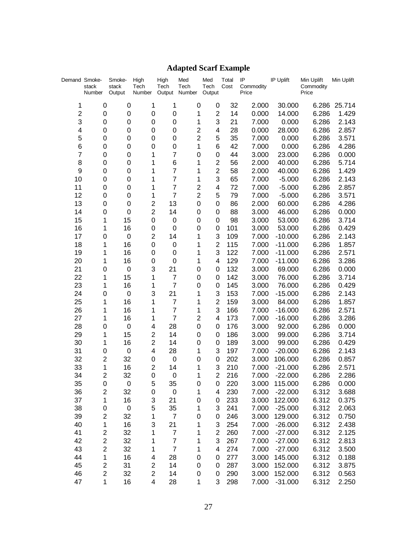# **Adapted Scarf Example**

| Demand Smoke-  | stack<br>Number         | Smoke-<br>stack<br>Output | High<br>Tech<br>Number           | High<br>Tech<br>Output | Med<br>Tech<br>Number   | Med<br>Tech<br>Output | Total<br>Cost | IP<br>Commodity<br>Price | IP Uplift            | Min Uplift<br>Commodity<br>Price | Min Uplift     |
|----------------|-------------------------|---------------------------|----------------------------------|------------------------|-------------------------|-----------------------|---------------|--------------------------|----------------------|----------------------------------|----------------|
| 1              | $\mathbf 0$             | 0                         | 1                                | 1                      | 0                       | 0                     | 32            | 2.000                    | 30.000               | 6.286                            | 25.714         |
| $\overline{c}$ | 0                       | 0                         | 0                                | 0                      | 1                       | $\overline{2}$        | 14            | 0.000                    | 14.000               | 6.286                            | 1.429          |
| 3              | 0                       | $\mathbf 0$               | 0                                | 0                      | 1                       | 3                     | 21            | 7.000                    | 0.000                | 6.286                            | 2.143          |
| 4              | 0                       | $\mathbf 0$               | 0                                | 0                      | $\overline{c}$          | 4                     | 28            | 0.000                    | 28.000               | 6.286                            | 2.857          |
| 5              | 0                       | 0                         | 0                                | 0                      | $\overline{c}$          | 5                     | 35            | 7.000                    | 0.000                | 6.286                            | 3.571          |
| 6              | 0                       | 0                         | 0                                | 0                      | 1                       | 6                     | 42            | 7.000                    | 0.000                | 6.286                            | 4.286          |
| 7              | 0                       | 0                         | 1                                | $\overline{7}$         | 0                       | $\mathbf 0$           | 44            | 3.000                    | 23.000               | 6.286                            | 0.000          |
| 8              | 0                       | 0                         | 1                                | 6                      | 1                       | $\overline{2}$        | 56            | 2.000                    | 40.000               | 6.286                            | 5.714          |
| 9              | 0                       | 0                         | 1                                | $\overline{7}$         | 1                       | $\overline{2}$        | 58            | 2.000                    | 40.000               | 6.286                            | 1.429          |
| 10             | 0                       | 0                         | 1                                | $\overline{7}$         | 1                       | 3                     | 65            | 7.000                    | $-5.000$             | 6.286                            | 2.143          |
| 11             | 0                       | 0                         | 1                                | $\overline{7}$         | $\overline{\mathbf{c}}$ | 4                     | 72            | 7.000                    | $-5.000$             | 6.286                            | 2.857          |
| 12             | 0                       | $\mathbf 0$               | 1                                | $\overline{7}$         | $\overline{2}$          | 5                     | 79            | 7.000                    | $-5.000$             | 6.286                            | 3.571          |
| 13             | 0                       | $\mathbf 0$               | $\overline{c}$                   | 13                     | 0                       | 0                     | 86            | 2.000                    | 60.000               | 6.286                            | 4.286          |
| 14             | 0                       | $\mathbf 0$               | $\overline{2}$                   | 14                     | 0                       | 0                     | 88            | 3.000                    | 46.000               | 6.286                            | 0.000          |
| 15             | 1                       | 15                        | 0                                | 0                      | 0                       | 0                     | 98            | 3.000                    | 53.000               | 6.286                            | 3.714          |
| 16             | 1                       | 16                        | 0                                | 0                      | 0                       | 0                     | 101           | 3.000                    | 53.000               | 6.286                            | 0.429          |
| 17             | 0                       | 0                         | $\overline{2}$                   | 14                     | 1                       | 3                     | 109           | 7.000                    | $-10.000$            | 6.286                            | 2.143          |
| 18             | 1                       | 16                        | 0                                | 0                      | 1                       | $\overline{2}$        | 115           | 7.000                    | $-11.000$            | 6.286                            | 1.857          |
| 19             | 1                       | 16                        | 0                                | 0                      | 1                       | 3                     | 122           | 7.000                    | $-11.000$            | 6.286                            | 2.571          |
| 20             | 1                       | 16                        | 0                                | 0                      | 1                       | 4                     | 129           | 7.000                    | $-11.000$            | 6.286                            | 3.286          |
| 21             | 0                       | 0                         | 3                                | 21                     | 0                       | 0                     | 132           | 3.000                    | 69.000               | 6.286                            | 0.000          |
| 22             | 1                       | 15                        | 1                                | $\overline{7}$         | 0                       | 0                     | 142           | 3.000                    | 76.000               | 6.286                            | 3.714          |
| 23             | 1                       | 16                        | 1                                | $\overline{7}$         | 0                       | 0                     | 145           | 3.000                    | 76.000               | 6.286                            | 0.429          |
| 24             | 0                       | $\mathbf 0$               | 3                                | 21                     | 1                       | 3                     | 153           | 7.000                    | $-15.000$            | 6.286                            | 2.143          |
| 25             | 1                       | 16                        | 1                                | $\overline{7}$         | 1                       | $\overline{2}$        | 159           | 3.000                    | 84.000               | 6.286                            | 1.857          |
| 26             | 1                       | 16                        | 1                                | 7                      | 1                       | 3                     | 166           | 7.000                    | $-16.000$            | 6.286                            | 2.571          |
| 27             | 1                       | 16                        | 1                                | $\overline{7}$         | $\overline{2}$          | 4                     | 173           | 7.000                    | $-16.000$            | 6.286                            | 3.286          |
| 28             | 0                       | 0                         | 4                                | 28                     | 0                       | 0                     | 176           | 3.000                    | 92.000               | 6.286                            | 0.000          |
| 29             | 1                       | 15                        | $\overline{2}$<br>$\overline{2}$ | 14                     | 0                       | 0                     | 186           | 3.000                    | 99.000               | 6.286                            | 3.714          |
| 30<br>31       | 1                       | 16                        | 4                                | 14<br>28               | 0<br>1                  | 0<br>3                | 189<br>197    | 3.000<br>7.000           | 99.000               | 6.286                            | 0.429<br>2.143 |
| 32             | 0<br>$\overline{2}$     | 0<br>32                   | 0                                | 0                      | 0                       | 0                     | 202           | 3.000                    | $-20.000$<br>106.000 | 6.286<br>6.286                   | 0.857          |
| 33             | 1                       | 16                        | $\overline{2}$                   | 14                     | 1                       | 3                     | 210           | 7.000                    | $-21.000$            | 6.286                            | 2.571          |
| 34             | $\overline{2}$          | 32                        | 0                                | 0                      | 1                       | $\overline{2}$        | 216           | 7.000                    | $-22.000$            | 6.286                            | 2.286          |
| 35             | 0                       | 0                         | 5                                | 35                     | 0                       | 0                     | <u>220</u>    | 3.000                    | 115.000              | 6.286                            | 0.000          |
| 36             | $\overline{\mathbf{c}}$ | 32                        | 0                                | 0                      | 1                       | 4                     | 230           | 7.000                    | $-22.000$            | 6.312                            | 3.688          |
| 37             | 1                       | 16                        | 3                                | 21                     | 0                       | 0                     | 233           | 3.000                    | 122.000              | 6.312                            | 0.375          |
| 38             | 0                       | $\mathbf 0$               | 5                                | 35                     | 1                       | 3                     | 241           | 7.000                    | $-25.000$            | 6.312                            | 2.063          |
| 39             | $\overline{c}$          | 32                        | 1                                | $\overline{7}$         | 0                       | 0                     | 246           | 3.000                    | 129.000              | 6.312                            | 0.750          |
| 40             | 1                       | 16                        | 3                                | 21                     | 1                       | 3                     | 254           | 7.000                    | $-26.000$            | 6.312                            | 2.438          |
| 41             | $\overline{c}$          | 32                        | 1                                | $\overline{7}$         | 1                       | $\overline{2}$        | 260           | 7.000                    | $-27.000$            | 6.312                            | 2.125          |
| 42             | $\overline{c}$          | 32                        | 1                                | $\overline{7}$         | 1                       | 3                     | 267           | 7.000                    | $-27.000$            | 6.312                            | 2.813          |
| 43             | $\overline{c}$          | 32                        | 1                                | $\overline{7}$         | 1                       | 4                     | 274           | 7.000                    | $-27.000$            | 6.312                            | 3.500          |
| 44             | 1                       | 16                        | 4                                | 28                     | 0                       | 0                     | 277           | 3.000                    | 145.000              | 6.312                            | 0.188          |
| 45             | $\overline{\mathbf{c}}$ | 31                        | $\overline{c}$                   | 14                     | 0                       | 0                     | 287           | 3.000                    | 152.000              | 6.312                            | 3.875          |
| 46             | $\overline{c}$          | 32                        | $\overline{2}$                   | 14                     | 0                       | 0                     | 290           | 3.000                    | 152.000              | 6.312                            | 0.563          |
| 47             | 1                       | 16                        | 4                                | 28                     | 1                       | 3                     | 298           | 7.000                    | $-31.000$            | 6.312                            | 2.250          |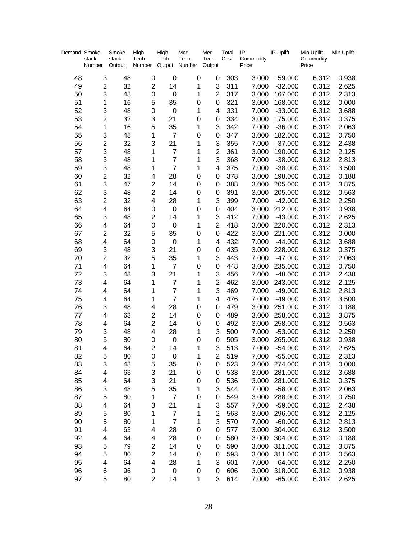| Demand Smoke- | stack<br>Number | Smoke-<br>stack<br>Output | High<br>Tech<br>Number  | High<br>Tech<br>Output | Med<br>Tech<br>Number | Med<br>Tech<br>Output   | Total<br>Cost | IP<br>Price | Commodity | IP Uplift | Min Uplift<br>Commodity<br>Price | Min Uplift |
|---------------|-----------------|---------------------------|-------------------------|------------------------|-----------------------|-------------------------|---------------|-------------|-----------|-----------|----------------------------------|------------|
| 48            | 3               | 48                        | $\mathbf 0$             | $\mathbf 0$            | $\mathbf 0$           | 0                       | 303           |             | 3.000     | 159.000   | 6.312                            | 0.938      |
| 49            | $\overline{c}$  | 32                        | $\mathbf 2$             | 14                     | 1                     | 3                       | 311           |             | 7.000     | $-32.000$ | 6.312                            | 2.625      |
| 50            | 3               | 48                        | $\mathbf 0$             | $\mathbf 0$            | 1                     | $\overline{2}$          | 317           |             | 3.000     | 167.000   | 6.312                            | 2.313      |
| 51            | 1               | 16                        | 5                       | 35                     | 0                     | 0                       | 321           |             | 3.000     | 168.000   | 6.312                            | 0.000      |
| 52            | 3               | 48                        | $\mathbf 0$             | $\boldsymbol{0}$       | 1                     | 4                       | 331           |             | 7.000     | $-33.000$ | 6.312                            | 3.688      |
| 53            | 2               | 32                        | 3                       | 21                     | 0                     | $\pmb{0}$               | 334           |             | 3.000     | 175.000   | 6.312                            | 0.375      |
| 54            | 1               | 16                        | 5                       | 35                     | 1                     | 3                       | 342           |             | 7.000     | $-36.000$ | 6.312                            | 2.063      |
| 55            | 3               | 48                        | 1                       | $\overline{7}$         | 0                     | 0                       | 347           |             | 3.000     | 182.000   | 6.312                            | 0.750      |
| 56            | 2               | 32                        | 3                       | 21                     | 1                     | 3                       | 355           |             | 7.000     | $-37.000$ | 6.312                            | 2.438      |
| 57            | 3               | 48                        | 1                       | $\overline{7}$         | 1                     | $\mathbf 2$             | 361           |             | 3.000     | 190.000   | 6.312                            | 2.125      |
| 58            | 3               | 48                        | 1                       | $\overline{7}$         | 1                     | 3                       | 368           |             | 7.000     | $-38.000$ | 6.312                            | 2.813      |
| 59            | 3               | 48                        | 1                       | $\overline{7}$         | 1                     | 4                       | 375           |             | 7.000     | $-38.000$ | 6.312                            | 3.500      |
| 60            | $\overline{c}$  | 32                        | $\overline{\mathbf{4}}$ | 28                     | 0                     | 0                       | 378           |             | 3.000     | 198.000   | 6.312                            | 0.188      |
| 61            | 3               | 47                        | $\mathbf 2$             | 14                     | 0                     | 0                       | 388           |             | 3.000     | 205.000   | 6.312                            | 3.875      |
| 62            | 3               | 48                        | $\overline{2}$          | 14                     | 0                     | 0                       | 391           |             | 3.000     | 205.000   | 6.312                            | 0.563      |
| 63            | $\overline{c}$  | 32                        | $\overline{\mathbf{4}}$ | 28                     | 1                     | 3                       | 399           |             | 7.000     | $-42.000$ | 6.312                            | 2.250      |
| 64            | 4               | 64                        | 0                       | $\boldsymbol{0}$       | 0                     | 0                       | 404           |             | 3.000     | 212.000   | 6.312                            | 0.938      |
| 65            | 3               | 48                        | $\overline{c}$          | 14                     | 1                     | 3                       | 412           |             | 7.000     | $-43.000$ | 6.312                            | 2.625      |
| 66            | 4               | 64                        | $\mathbf 0$             | $\mathbf 0$            | 1                     | $\overline{2}$          | 418           |             | 3.000     | 220.000   | 6.312                            | 2.313      |
| 67            | 2               | 32                        | 5                       | 35                     | 0                     | 0                       | 422           |             | 3.000     | 221.000   | 6.312                            | 0.000      |
| 68            | 4               | 64                        | 0                       | $\mathbf 0$            | 1                     | 4                       | 432           |             | 7.000     | $-44.000$ | 6.312                            | 3.688      |
| 69            | 3               | 48                        | 3                       | 21                     | 0                     | 0                       | 435           |             | 3.000     | 228.000   | 6.312                            | 0.375      |
| 70            | $\overline{c}$  | 32                        | 5                       | 35                     | 1                     | 3                       | 443           |             | 7.000     | $-47.000$ | 6.312                            | 2.063      |
| 71            | 4               | 64                        | 1                       | $\overline{7}$         | 0                     | 0                       | 448           |             | 3.000     | 235.000   | 6.312                            | 0.750      |
| 72            | 3               | 48                        | 3                       | 21                     | 1                     | 3                       | 456           |             | 7.000     | $-48.000$ | 6.312                            | 2.438      |
| 73            | 4               | 64                        | 1                       | $\overline{7}$         | 1                     | $\overline{2}$          | 462           |             | 3.000     | 243.000   | 6.312                            | 2.125      |
| 74            | 4               | 64                        | 1                       | $\overline{7}$         | 1                     | 3                       | 469           |             | 7.000     | $-49.000$ | 6.312                            | 2.813      |
| 75            | 4               | 64                        | 1                       | $\overline{7}$         | 1                     | 4                       | 476           |             | 7.000     | $-49.000$ | 6.312                            | 3.500      |
| 76            | 3               | 48                        | $\overline{\mathbf{4}}$ | 28                     | 0                     | 0                       | 479           |             | 3.000     | 251.000   | 6.312                            | 0.188      |
| 77            | 4               | 63                        | $\overline{\mathbf{c}}$ | 14                     | 0                     | 0                       | 489           |             | 3.000     | 258.000   | 6.312                            | 3.875      |
| 78            | 4               | 64                        | $\overline{2}$          | 14                     | 0                     | 0                       | 492           |             | 3.000     | 258.000   | 6.312                            | 0.563      |
| 79            | 3               | 48                        | 4                       | 28                     | 1                     | 3                       | 500           |             | 7.000     | $-53.000$ | 6.312                            | 2.250      |
| 80            | 5               | 80                        | 0                       | $\mathbf 0$            | 0                     | 0                       | 505           |             | 3.000     | 265.000   | 6.312                            | 0.938      |
| 81            | 4               | 64                        | $\overline{2}$          | 14                     | 1                     | 3                       | 513           |             | 7.000     | $-54.000$ | 6.312                            | 2.625      |
| 82            | 5               | 80                        | 0                       | O                      | 1                     | 2                       | 519           |             | 7.000     | $-55.000$ | 6.312                            | 2.313      |
| 83            | 3               | 48                        | 5                       | 35                     | 0                     | 0                       | 523           |             | 3.000     | 274.000   | 6.312                            | 0.000      |
| 84            | 4               | 63                        | 3                       | 21                     | 0                     | 0                       | 533           |             | 3.000     | 281.000   | 6.312                            | 3.688      |
| 85            | 4               | 64                        | 3                       | 21                     | 0                     | 0                       | 536           |             | 3.000     | 281.000   | 6.312                            | 0.375      |
| 86            | 3               | 48                        | 5                       | 35                     | 1                     | 3                       | 544           |             | 7.000     | $-58.000$ | 6.312                            | 2.063      |
| 87            | 5               | 80                        | 1                       | $\overline{7}$         | 0                     | 0                       | 549           |             | 3.000     | 288.000   | 6.312                            | 0.750      |
| 88            | 4               | 64                        | 3                       | 21                     | 1                     | 3                       | 557           |             | 7.000     | $-59.000$ | 6.312                            | 2.438      |
| 89            | 5               | 80                        | 1                       | $\overline{7}$         | 1                     | $\overline{\mathbf{c}}$ | 563           |             | 3.000     | 296.000   | 6.312                            | 2.125      |
| 90            | 5               | 80                        | 1                       | $\overline{7}$         | 1                     | 3                       | 570           |             | 7.000     | $-60.000$ | 6.312                            | 2.813      |
| 91            | 4               | 63                        | 4                       | 28                     | 0                     | 0                       | 577           |             | 3.000     | 304.000   | 6.312                            | 3.500      |
| 92            | 4               | 64                        | 4                       | 28                     | 0                     | 0                       | 580           |             | 3.000     | 304.000   | 6.312                            | 0.188      |
| 93            | 5               | 79                        | 2                       | 14                     | 0                     | 0                       | 590           |             | 3.000     | 311.000   | 6.312                            | 3.875      |
| 94            | 5               | 80                        | $\overline{c}$          | 14                     | 0                     | 0                       | 593           |             | 3.000     | 311.000   | 6.312                            | 0.563      |
| 95            | 4               | 64                        | $\overline{\mathbf{4}}$ | 28                     | 1                     | 3                       | 601           |             | 7.000     | $-64.000$ | 6.312                            | 2.250      |
| 96            | 6               | 96                        | 0                       | $\mathbf 0$            | 0                     | 0                       | 606           |             | 3.000     | 318.000   | 6.312                            | 0.938      |
| 97            | 5               | 80                        | $\overline{2}$          | 14                     | 1                     | 3                       | 614           |             | 7.000     | $-65.000$ | 6.312                            | 2.625      |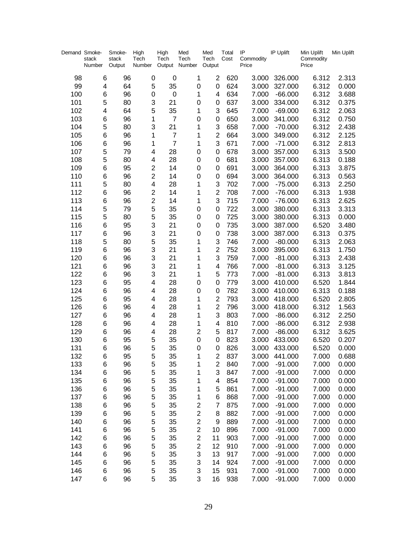| Demand Smoke- | stack<br>Number | Smoke-<br>stack<br>Output | High<br>Tech<br>Number  | High<br>Tech<br>Output Number | Med<br>Tech             | Med<br>Tech<br>Output | Total<br>Cost | IP<br>Commodity<br>Price | IP Uplift              | Min Uplift<br>Commodity<br>Price | Min Uplift     |
|---------------|-----------------|---------------------------|-------------------------|-------------------------------|-------------------------|-----------------------|---------------|--------------------------|------------------------|----------------------------------|----------------|
|               |                 |                           |                         |                               |                         |                       |               |                          |                        |                                  |                |
| 98            | 6               | 96                        | 0                       | $\mathbf 0$                   | 1                       | $\overline{2}$        | 620           | 3.000                    | 326.000                | 6.312                            | 2.313          |
| 99            | 4               | 64                        | 5                       | 35                            | 0                       | 0                     | 624           | 3.000                    | 327.000                | 6.312                            | 0.000          |
| 100           | 6               | 96                        | 0                       | $\boldsymbol{0}$              | 1                       | 4                     | 634           | 7.000                    | $-66.000$              | 6.312                            | 3.688          |
| 101           | 5               | 80                        | 3                       | 21                            | 0                       | 0                     | 637           | 3.000                    | 334.000                | 6.312                            | 0.375          |
| 102           | 4               | 64                        | 5                       | 35                            | 1                       | 3                     | 645           | 7.000                    | $-69.000$              | 6.312                            | 2.063          |
| 103           | 6               | 96                        | 1                       | $\overline{7}$                | 0                       | 0                     | 650           | 3.000                    | 341.000                | 6.312                            | 0.750          |
| 104           | 5               | 80                        | 3                       | 21                            | 1                       | 3                     | 658           | 7.000                    | $-70.000$              | 6.312                            | 2.438          |
| 105           | 6               | 96                        | 1                       | $\overline{7}$                | 1                       | $\overline{c}$        | 664           | 3.000                    | 349.000                | 6.312                            | 2.125          |
| 106           | 6               | 96                        | 1                       | $\overline{7}$                | 1                       | 3                     | 671           | 7.000                    | $-71.000$              | 6.312                            | 2.813          |
| 107           | 5               | 79                        | 4                       | 28                            | 0                       | 0                     | 678           | 3.000                    | 357.000                | 6.313                            | 3.500          |
| 108           | 5               | 80                        | 4                       | 28                            | 0                       | 0                     | 681           | 3.000                    | 357.000                | 6.313                            | 0.188          |
| 109           | 6               | 95                        | $\overline{c}$          | 14                            | 0                       | 0                     | 691           | 3.000                    | 364.000                | 6.313                            | 3.875          |
| 110           | 6               | 96                        | $\overline{c}$          | 14                            | 0                       | 0                     | 694           | 3.000                    | 364.000                | 6.313                            | 0.563          |
| 111           | 5               | 80                        | 4                       | 28                            | 1                       | 3                     | 702           | 7.000                    | $-75.000$              | 6.313                            | 2.250          |
| 112           | 6               | 96                        | $\overline{c}$          | 14                            | 1                       | $\overline{2}$        | 708           | 7.000                    | $-76.000$              | 6.313                            | 1.938          |
| 113           | 6               | 96                        | $\overline{c}$          | 14                            | 1                       | 3                     | 715           | 7.000                    | $-76.000$              | 6.313                            | 2.625          |
| 114           | 5               | 79                        | 5                       | 35                            | 0                       | 0                     | 722           | 3.000                    | 380.000                | 6.313                            | 3.313          |
| 115           | 5               | 80                        | 5                       | 35                            | 0                       | 0                     | 725           | 3.000                    | 380.000                | 6.313                            | 0.000          |
| 116           | 6               | 95                        | 3                       | 21                            | 0                       | 0                     | 735           | 3.000                    | 387.000                | 6.520                            | 3.480          |
| 117           | 6               | 96                        | 3                       | 21                            | 0                       | 0                     | 738           | 3.000                    | 387.000                | 6.313                            | 0.375          |
| 118           | 5               | 80                        | 5                       | 35                            | 1                       | 3                     | 746           | 7.000                    | $-80.000$              | 6.313                            | 2.063          |
| 119           | 6               | 96                        | 3                       | 21                            | 1                       | $\overline{c}$        | 752           | 3.000                    | 395.000                | 6.313                            | 1.750          |
| 120           | 6               | 96                        | 3                       | 21                            | 1                       | 3                     | 759           | 7.000                    | $-81.000$              | 6.313                            | 2.438          |
| 121           | 6               | 96                        | 3                       | 21                            | 1                       | 4                     | 766           | 7.000                    | $-81.000$              | 6.313                            | 3.125          |
| 122           | 6               | 96                        | 3                       | 21                            | 1                       | 5                     | 773           | 7.000                    | $-81.000$              | 6.313                            | 3.813          |
| 123           | 6               | 95                        | $\overline{\mathbf{4}}$ | 28                            | 0                       | 0                     | 779           | 3.000                    | 410.000                | 6.520                            | 1.844          |
| 124           | 6               | 96                        | $\overline{\mathbf{4}}$ | 28                            | 0                       | 0                     | 782           | 3.000                    | 410.000                | 6.313                            | 0.188          |
| 125           | 6               | 95                        | 4                       | 28                            | 1                       | $\overline{2}$        | 793           | 3.000                    | 418.000                | 6.520                            | 2.805          |
| 126           | 6               | 96                        | 4                       | 28                            | 1                       | $\overline{2}$        | 796           | 3.000                    | 418.000                | 6.312                            | 1.563          |
| 127           | 6               | 96                        | $\overline{\mathbf{4}}$ | 28                            | 1                       | 3                     | 803           | 7.000                    | $-86.000$              | 6.312                            | 2.250          |
| 128           | 6               | 96                        | $\overline{\mathbf{4}}$ | 28                            | 1                       | 4                     | 810           | 7.000                    | $-86.000$              | 6.312                            | 2.938          |
| 129           | 6               | 96                        | 4                       | 28                            | $\overline{\mathbf{c}}$ | 5                     | 817           | 7.000                    | $-86.000$              | 6.312                            | 3.625          |
| 130           | 6               | 95                        | 5                       | 35                            | 0                       | 0                     | 823           | 3.000                    | 433.000                | 6.520                            | 0.207          |
| 131           | 6               | 96                        | 5                       | 35                            | 0                       | 0                     | 826           | 3.000                    | 433.000                | 6.520                            | 0.000          |
| 132           | 6               | 95                        | 5                       | 35                            | 1                       | 2                     | 837           | 3.000                    | 441.000                | 7.000                            | 0.688          |
| 133           | 6               | 96                        | 5                       | 35                            | 1                       | 2                     | 840           | 7.000                    | $-91.000$              | 7.000                            | 0.000          |
| 134           | 6               | 96                        | 5                       | 35                            | 1                       | 3                     | 847           | 7.000                    | $-91.000$              | 7.000                            | 0.000          |
| 135           | 6               | 96                        | 5                       | 35                            | 1                       | 4                     | 854           | 7.000                    | $-91.000$              | 7.000                            | 0.000          |
| 136           | 6               | 96                        | 5                       | 35                            | 1                       | 5                     | 861           | 7.000                    | $-91.000$              | 7.000                            | 0.000          |
| 137           | 6               | 96                        | 5                       | 35                            | 1                       | 6                     | 868           | 7.000                    | $-91.000$              | 7.000                            | 0.000          |
| 138           | 6               | 96                        | 5                       | 35                            | $\overline{\mathbf{c}}$ | 7                     | 875           | 7.000                    | $-91.000$              | 7.000                            | 0.000          |
| 139           | 6               | 96                        | 5                       | 35                            | $\overline{\mathbf{c}}$ | 8                     | 882           | 7.000                    | $-91.000$              | 7.000                            | 0.000          |
| 140           | 6               | 96                        | 5                       | 35                            | $\overline{\mathbf{c}}$ | 9                     | 889           | 7.000                    | $-91.000$              | 7.000                            | 0.000          |
| 141           | 6               | 96                        | 5                       | 35                            | $\overline{\mathbf{c}}$ | 10                    | 896           | 7.000                    | $-91.000$              | 7.000                            | 0.000          |
| 142           | 6               | 96                        | 5                       | 35                            | $\overline{\mathbf{c}}$ | 11                    | 903           | 7.000                    | $-91.000$              | 7.000                            | 0.000          |
| 143           | 6               | 96                        | 5                       | 35                            | $\overline{\mathbf{c}}$ | 12                    | 910           | 7.000                    | $-91.000$              | 7.000                            | 0.000          |
| 144           | 6               | 96                        | 5<br>5                  | 35                            | 3                       | 13                    | 917           | 7.000                    | $-91.000$              | 7.000                            | 0.000          |
| 145           | 6               | 96                        | 5                       | 35                            | 3                       | 14<br>15              | 924           | 7.000                    | $-91.000$              | 7.000                            | 0.000          |
| 146<br>147    | 6<br>6          | 96<br>96                  | 5                       | 35<br>35                      | 3<br>3                  | 16                    | 931<br>938    | 7.000<br>7.000           | $-91.000$<br>$-91.000$ | 7.000<br>7.000                   | 0.000<br>0.000 |
|               |                 |                           |                         |                               |                         |                       |               |                          |                        |                                  |                |